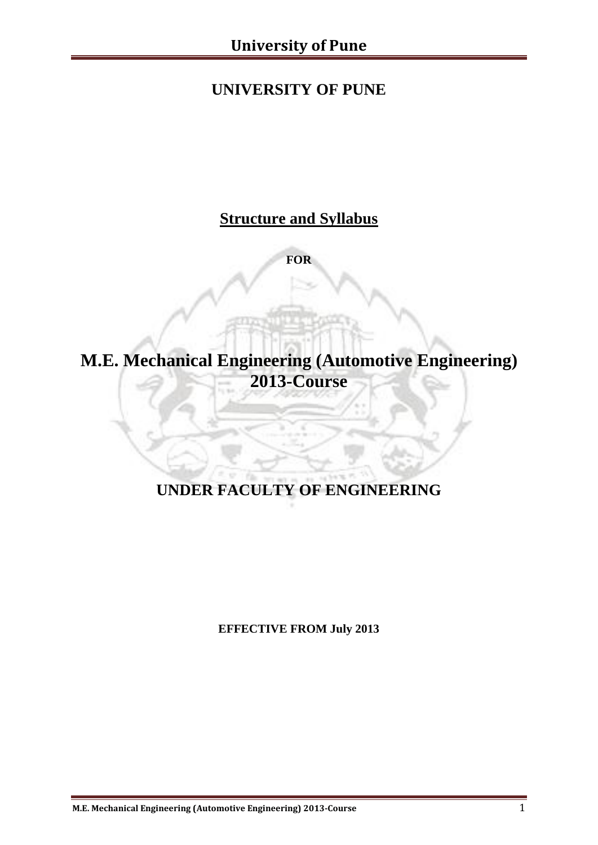# **UNIVERSITY OF PUNE**

# **Structure and Syllabus**

**FOR**

# **M.E. Mechanical Engineering (Automotive Engineering) 2013-Course**

# **UNDER FACULTY OF ENGINEERING**

**EFFECTIVE FROM July 2013**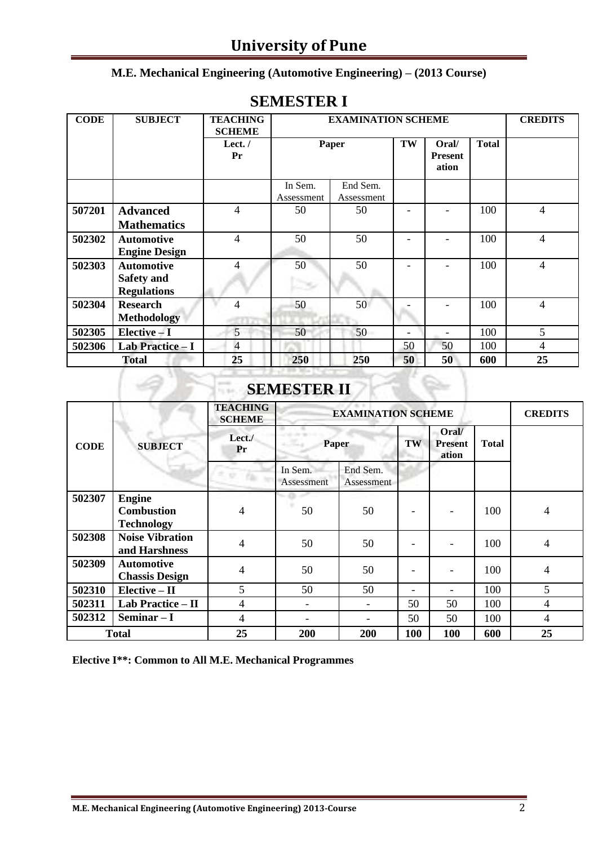# **University of Pune**

#### **M.E. Mechanical Engineering (Automotive Engineering) – (2013 Course)**

| <b>CODE</b> | <b>SUBJECT</b>                                               | <b>TEACHING</b><br><b>SCHEME</b> |                       | <b>EXAMINATION SCHEME</b> |                          |                                  |              | <b>CREDITS</b> |
|-------------|--------------------------------------------------------------|----------------------------------|-----------------------|---------------------------|--------------------------|----------------------------------|--------------|----------------|
|             |                                                              | Lect. $/$<br>Pr                  | Paper                 |                           | TW                       | Oral/<br><b>Present</b><br>ation | <b>Total</b> |                |
|             |                                                              |                                  | In Sem.<br>Assessment | End Sem.<br>Assessment    |                          |                                  |              |                |
| 507201      | <b>Advanced</b><br><b>Mathematics</b>                        | $\overline{4}$                   | 50                    | 50                        |                          |                                  | 100          | $\overline{4}$ |
| 502302      | <b>Automotive</b><br><b>Engine Design</b>                    | $\overline{4}$                   | 50                    | 50                        |                          |                                  | 100          | 4              |
| 502303      | <b>Automotive</b><br><b>Safety and</b><br><b>Regulations</b> | 4                                | 50                    | 50                        |                          |                                  | 100          | $\overline{4}$ |
| 502304      | <b>Research</b><br><b>Methodology</b>                        | $\overline{\mathcal{A}}$         | 50                    | 50                        |                          |                                  | 100          | 4              |
| 502305      | Elective - I                                                 | 5                                | 50                    | 50                        | $\overline{\phantom{0}}$ |                                  | 100          | 5              |
| 502306      | Lab Practice - I                                             | $\overline{4}$                   |                       |                           | 50                       | 50                               | 100          | 4              |
|             | <b>Total</b>                                                 | 25                               | 250                   | 250                       | 50                       | 50                               | 600          | 25             |

#### **SEMESTER I**

# **SEMESTER II**

|             |                                            | <b>TEACHING</b><br><b>SCHEME</b> | <b>EXAMINATION SCHEME</b> | <b>CREDITS</b>         |     |     |              |                |
|-------------|--------------------------------------------|----------------------------------|---------------------------|------------------------|-----|-----|--------------|----------------|
| <b>CODE</b> | <b>SUBJECT</b>                             | Let.<br><b>Paper</b><br>Pr       |                           |                        | TW  |     | <b>Total</b> |                |
|             |                                            |                                  | In Sem.<br>Assessment     | End Sem.<br>Assessment |     |     |              |                |
| 502307      | <b>Engine</b>                              |                                  |                           |                        |     |     |              |                |
|             | <b>Combustion</b>                          | 4                                | 50                        | 50                     |     |     | 100          | $\overline{4}$ |
|             | <b>Technology</b>                          |                                  |                           |                        |     |     |              |                |
| 502308      | <b>Noise Vibration</b><br>and Harshness    | 4                                | 50                        | 50                     |     |     | 100          | $\overline{4}$ |
| 502309      | <b>Automotive</b><br><b>Chassis Design</b> | 4                                | 50                        | 50                     |     |     | 100          | $\overline{4}$ |
| 502310      | $Elective - II$                            | 5                                | 50                        | 50                     | -   |     | 100          | 5              |
| 502311      | Lab Practice - II                          | 4                                |                           |                        | 50  | 50  | 100          | $\overline{4}$ |
| 502312      | Seminar $-I$                               | 4                                |                           |                        | 50  | 50  | 100          | $\overline{4}$ |
|             | <b>Total</b>                               | 25                               | 200                       | 200                    | 100 | 100 | 600          | 25             |

**Elective I\*\*: Common to All M.E. Mechanical Programmes**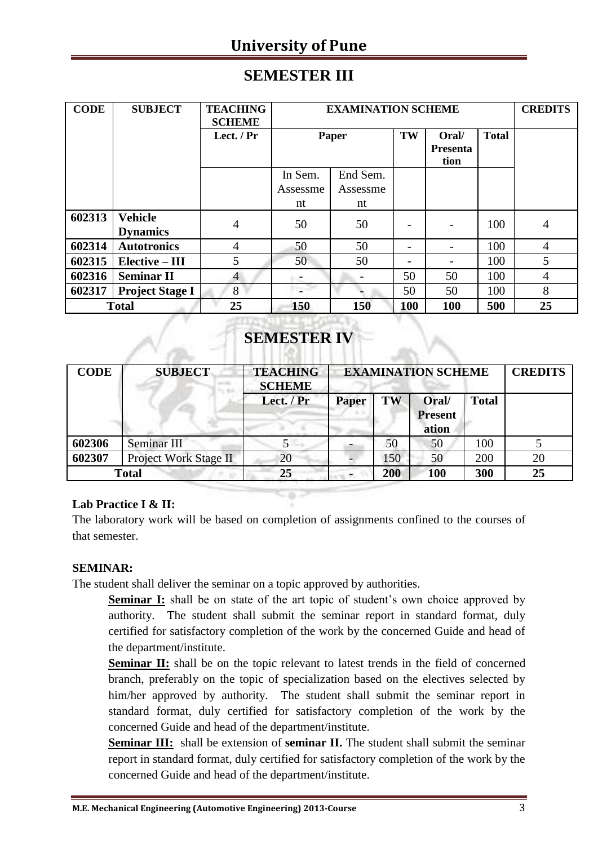# **University of Pune**

### **SEMESTER III**

| <b>CODE</b>  | <b>SUBJECT</b>                    | <b>TEACHING</b><br><b>SCHEME</b> |                     | <b>EXAMINATION SCHEME</b> |                          |                                  |              | <b>CREDITS</b> |
|--------------|-----------------------------------|----------------------------------|---------------------|---------------------------|--------------------------|----------------------------------|--------------|----------------|
|              |                                   | Lect. $/Pr$                      | Paper               |                           | TW                       | Oral/<br><b>Presenta</b><br>tion | <b>Total</b> |                |
|              |                                   |                                  | In Sem.<br>Assessme | End Sem.<br>Assessme      |                          |                                  |              |                |
|              |                                   |                                  | nt                  | nt                        |                          |                                  |              |                |
| 602313       | <b>Vehicle</b><br><b>Dynamics</b> | 4                                | 50                  | 50                        |                          |                                  | 100          | 4              |
| 602314       | <b>Autotronics</b>                | $\overline{4}$                   | 50                  | 50                        |                          |                                  | 100          | $\overline{4}$ |
| 602315       | $Elective - III$                  | 5                                | 50                  | 50                        | $\overline{\phantom{0}}$ |                                  | 100          | 5              |
| 602316       | <b>Seminar II</b>                 | $\overline{4}$                   | -                   |                           | 50                       | 50                               | 100          | $\overline{4}$ |
| 602317       | <b>Project Stage I</b>            | 8                                |                     |                           | 50                       | 50                               | 100          | 8              |
| <b>Total</b> |                                   | 25                               | 150                 | 150                       | 100                      | 100                              | 500          | 25             |

## **SEMESTER IV**

| <b>CODE</b>  | <b>SUBJECT</b>        | <b>TEACHING</b><br><b>SCHEME</b> |              | <b>EXAMINATION SCHEME</b> |                                  |              |    |  |
|--------------|-----------------------|----------------------------------|--------------|---------------------------|----------------------------------|--------------|----|--|
|              |                       | Lect. / Pr                       | <b>Paper</b> | TW                        | Oral/<br><b>Present</b><br>ation | <b>Total</b> |    |  |
| 602306       | Seminar III           | C                                |              | 50                        | 50                               | 100          |    |  |
| 602307       | Project Work Stage II | 20                               |              | 150                       | 50                               | 200          | 20 |  |
| <b>Total</b> |                       | 25                               |              | 200                       | 100                              | 300          | 25 |  |

#### **Lab Practice I & II:**

The laboratory work will be based on completion of assignments confined to the courses of that semester.

#### **SEMINAR:**

The student shall deliver the seminar on a topic approved by authorities.

**Seminar I:** shall be on state of the art topic of student's own choice approved by authority. The student shall submit the seminar report in standard format, duly certified for satisfactory completion of the work by the concerned Guide and head of the department/institute.

**Seminar II:** shall be on the topic relevant to latest trends in the field of concerned branch, preferably on the topic of specialization based on the electives selected by him/her approved by authority. The student shall submit the seminar report in standard format, duly certified for satisfactory completion of the work by the concerned Guide and head of the department/institute.

**Seminar III:** shall be extension of **seminar II.** The student shall submit the seminar report in standard format, duly certified for satisfactory completion of the work by the concerned Guide and head of the department/institute.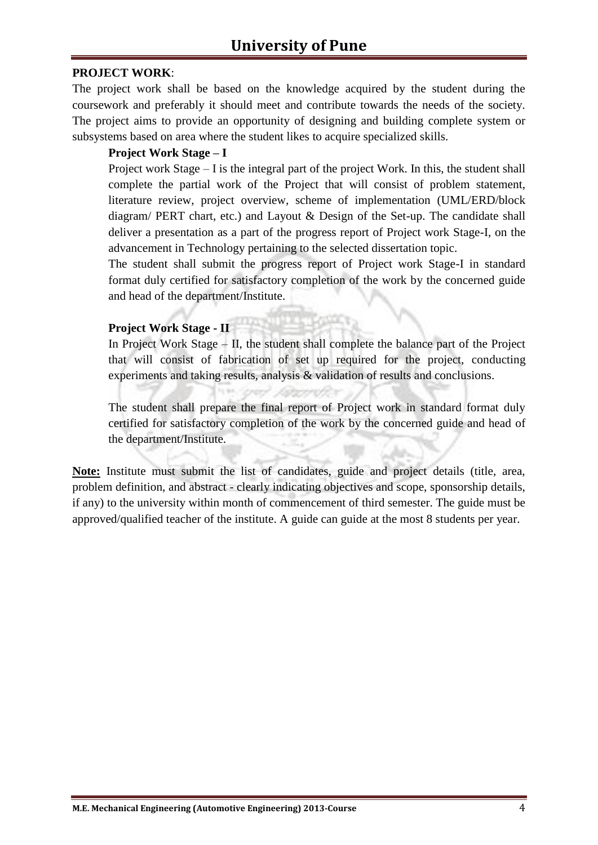#### **PROJECT WORK**:

The project work shall be based on the knowledge acquired by the student during the coursework and preferably it should meet and contribute towards the needs of the society. The project aims to provide an opportunity of designing and building complete system or subsystems based on area where the student likes to acquire specialized skills.

#### **Project Work Stage – I**

Project work Stage – I is the integral part of the project Work. In this, the student shall complete the partial work of the Project that will consist of problem statement, literature review, project overview, scheme of implementation (UML/ERD/block diagram/ PERT chart, etc.) and Layout & Design of the Set-up. The candidate shall deliver a presentation as a part of the progress report of Project work Stage-I, on the advancement in Technology pertaining to the selected dissertation topic.

The student shall submit the progress report of Project work Stage-I in standard format duly certified for satisfactory completion of the work by the concerned guide and head of the department/Institute.

#### **Project Work Stage - II**

In Project Work Stage – II, the student shall complete the balance part of the Project that will consist of fabrication of set up required for the project, conducting experiments and taking results, analysis & validation of results and conclusions.

The student shall prepare the final report of Project work in standard format duly certified for satisfactory completion of the work by the concerned guide and head of the department/Institute.

**Note:** Institute must submit the list of candidates, guide and project details (title, area, problem definition, and abstract - clearly indicating objectives and scope, sponsorship details, if any) to the university within month of commencement of third semester. The guide must be approved/qualified teacher of the institute. A guide can guide at the most 8 students per year.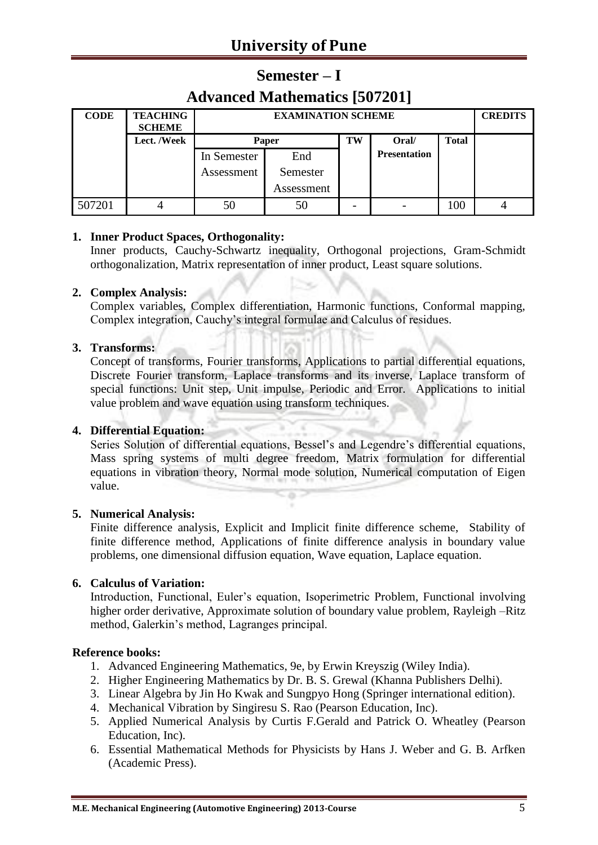## **Semester – I**

### **Advanced Mathematics [507201]**

| <b>CODE</b> | <b>TEACHING</b><br><b>SCHEME</b> |             | <b>EXAMINATION SCHEME</b> |    |                     |              |  |  |  |
|-------------|----------------------------------|-------------|---------------------------|----|---------------------|--------------|--|--|--|
|             | <b>Lect. /Week</b>               |             | Paper                     | TW | Oral/               | <b>Total</b> |  |  |  |
|             |                                  | In Semester | End                       |    | <b>Presentation</b> |              |  |  |  |
|             |                                  | Assessment  | Semester                  |    |                     |              |  |  |  |
|             |                                  |             | Assessment                |    |                     |              |  |  |  |
| 507201      |                                  |             | 50                        |    |                     | 100          |  |  |  |

#### **1. Inner Product Spaces, Orthogonality:**

Inner products, Cauchy-Schwartz inequality, Orthogonal projections, Gram-Schmidt orthogonalization, Matrix representation of inner product, Least square solutions.

#### **2. Complex Analysis:**

Complex variables, Complex differentiation, Harmonic functions, Conformal mapping, Complex integration, Cauchy's integral formulae and Calculus of residues.

#### **3. Transforms:**

Concept of transforms, Fourier transforms, Applications to partial differential equations, Discrete Fourier transform, Laplace transforms and its inverse, Laplace transform of special functions: Unit step, Unit impulse, Periodic and Error. Applications to initial value problem and wave equation using transform techniques.

#### **4. Differential Equation:**

Series Solution of differential equations, Bessel's and Legendre's differential equations, Mass spring systems of multi degree freedom, Matrix formulation for differential equations in vibration theory, Normal mode solution, Numerical computation of Eigen value.

#### **5. Numerical Analysis:**

Finite difference analysis, Explicit and Implicit finite difference scheme, Stability of finite difference method, Applications of finite difference analysis in boundary value problems, one dimensional diffusion equation, Wave equation, Laplace equation.

#### **6. Calculus of Variation:**

Introduction, Functional, Euler's equation, Isoperimetric Problem, Functional involving higher order derivative, Approximate solution of boundary value problem, Rayleigh –Ritz method, Galerkin's method, Lagranges principal.

- 1. Advanced Engineering Mathematics, 9e, by Erwin Kreyszig (Wiley India).
- 2. Higher Engineering Mathematics by Dr. B. S. Grewal (Khanna Publishers Delhi).
- 3. Linear Algebra by Jin Ho Kwak and Sungpyo Hong (Springer international edition).
- 4. Mechanical Vibration by Singiresu S. Rao (Pearson Education, Inc).
- 5. Applied Numerical Analysis by Curtis F.Gerald and Patrick O. Wheatley (Pearson Education, Inc).
- 6. Essential Mathematical Methods for Physicists by Hans J. Weber and G. B. Arfken (Academic Press).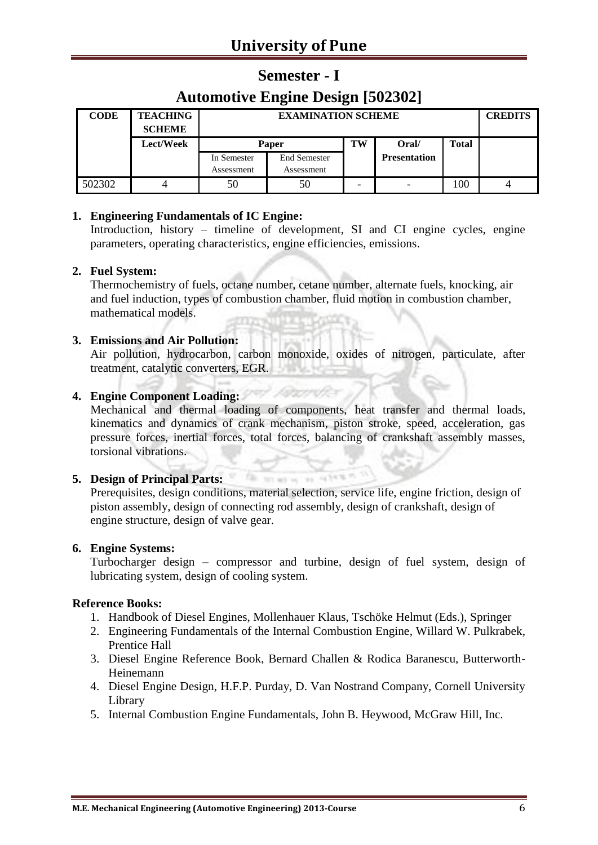# **Semester - I**

# **Automotive Engine Design [502302]**

| <b>CODE</b> | <b>TEACHING</b><br><b>SCHEME</b> |                           | <b>EXAMINATION SCHEME</b>         |    |                     |              |  |  |
|-------------|----------------------------------|---------------------------|-----------------------------------|----|---------------------|--------------|--|--|
|             | Lect/Week                        |                           | Paper                             | TW | Oral/               | <b>Total</b> |  |  |
|             |                                  | In Semester<br>Assessment | <b>End Semester</b><br>Assessment |    | <b>Presentation</b> |              |  |  |
| 502302      |                                  | 50                        | 50                                |    |                     | 100          |  |  |

#### **1. Engineering Fundamentals of IC Engine:**

Introduction, history – timeline of development, SI and CI engine cycles, engine parameters, operating characteristics, engine efficiencies, emissions.

#### **2. Fuel System:**

Thermochemistry of fuels, octane number, cetane number, alternate fuels, knocking, air and fuel induction, types of combustion chamber, fluid motion in combustion chamber, mathematical models.

#### **3. Emissions and Air Pollution:**

Air pollution, hydrocarbon, carbon monoxide, oxides of nitrogen, particulate, after treatment, catalytic converters, EGR.

#### **4. Engine Component Loading:**

Mechanical and thermal loading of components, heat transfer and thermal loads, kinematics and dynamics of crank mechanism, piston stroke, speed, acceleration, gas pressure forces, inertial forces, total forces, balancing of crankshaft assembly masses, torsional vibrations.

#### **5. Design of Principal Parts:**

Prerequisites, design conditions, material selection, service life, engine friction, design of piston assembly, design of connecting rod assembly, design of crankshaft, design of engine structure, design of valve gear.

hit art is 'ex' 14

**The** 

#### **6. Engine Systems:**

Turbocharger design – compressor and turbine, design of fuel system, design of lubricating system, design of cooling system.

- 1. Handbook of Diesel Engines, Mollenhauer Klaus, Tschöke Helmut (Eds.), Springer
- 2. Engineering Fundamentals of the Internal Combustion Engine, Willard W. Pulkrabek, Prentice Hall
- 3. Diesel Engine Reference Book, Bernard Challen & Rodica Baranescu, Butterworth-Heinemann
- 4. Diesel Engine Design, H.F.P. Purday, D. Van Nostrand Company, Cornell University Library
- 5. Internal Combustion Engine Fundamentals, John B. Heywood, McGraw Hill, Inc.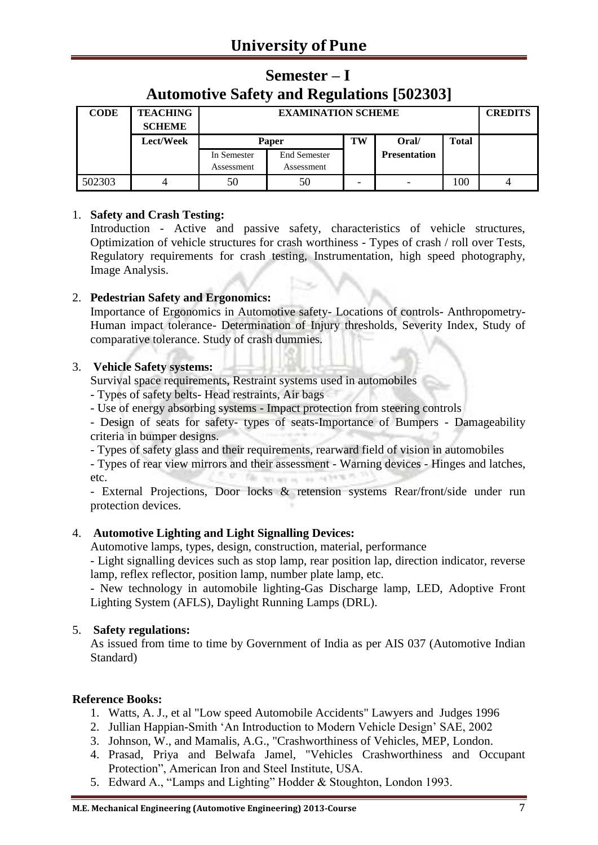## **Semester – I Automotive Safety and Regulations [502303]**

| <b>CODE</b> | <b>TEACHING</b><br><b>SCHEME</b> |                           | <b>EXAMINATION SCHEME</b>         |    |                     |              |  |  |
|-------------|----------------------------------|---------------------------|-----------------------------------|----|---------------------|--------------|--|--|
|             | Lect/Week                        |                           | Paper                             | TW | Oral/               | <b>Total</b> |  |  |
|             |                                  | In Semester<br>Assessment | <b>End Semester</b><br>Assessment |    | <b>Presentation</b> |              |  |  |
| 502303      |                                  | 50                        | 50                                |    |                     | 100          |  |  |

#### 1. **Safety and Crash Testing:**

Introduction - Active and passive safety, characteristics of vehicle structures, Optimization of vehicle structures for crash worthiness - Types of crash / roll over Tests, Regulatory requirements for crash testing, Instrumentation, high speed photography, Image Analysis.

#### 2. **Pedestrian Safety and Ergonomics:**

Importance of Ergonomics in Automotive safety- Locations of controls- Anthropometry-Human impact tolerance- Determination of Injury thresholds, Severity Index, Study of comparative tolerance. Study of crash dummies.

#### 3. **Vehicle Safety systems:**

Survival space requirements, Restraint systems used in automobiles

- Types of safety belts- Head restraints, Air bags

- Use of energy absorbing systems - Impact protection from steering controls

- Design of seats for safety- types of seats-Importance of Bumpers - Damageability criteria in bumper designs.

- Types of safety glass and their requirements, rearward field of vision in automobiles

- Types of rear view mirrors and their assessment - Warning devices - Hinges and latches, 5. pr etc. **Clay** brian a said

- External Projections, Door locks & retension systems Rear/front/side under run protection devices.

#### 4. **Automotive Lighting and Light Signalling Devices:**

Automotive lamps, types, design, construction, material, performance

- Light signalling devices such as stop lamp, rear position lap, direction indicator, reverse lamp, reflex reflector, position lamp, number plate lamp, etc.

- New technology in automobile lighting-Gas Discharge lamp, LED, Adoptive Front Lighting System (AFLS), Daylight Running Lamps (DRL).

#### 5. **Safety regulations:**

As issued from time to time by Government of India as per AIS 037 (Automotive Indian Standard)

- 1. Watts, A. J., et al "Low speed Automobile Accidents" Lawyers and Judges 1996
- 2. Jullian Happian-Smith 'An Introduction to Modern Vehicle Design' SAE, 2002
- 3. Johnson, W., and Mamalis, A.G., "Crashworthiness of Vehicles, MEP, London.
- 4. Prasad, Priya and Belwafa Jamel, "Vehicles Crashworthiness and Occupant Protection", American Iron and Steel Institute, USA.
- 5. Edward A., "Lamps and Lighting" Hodder & Stoughton, London 1993.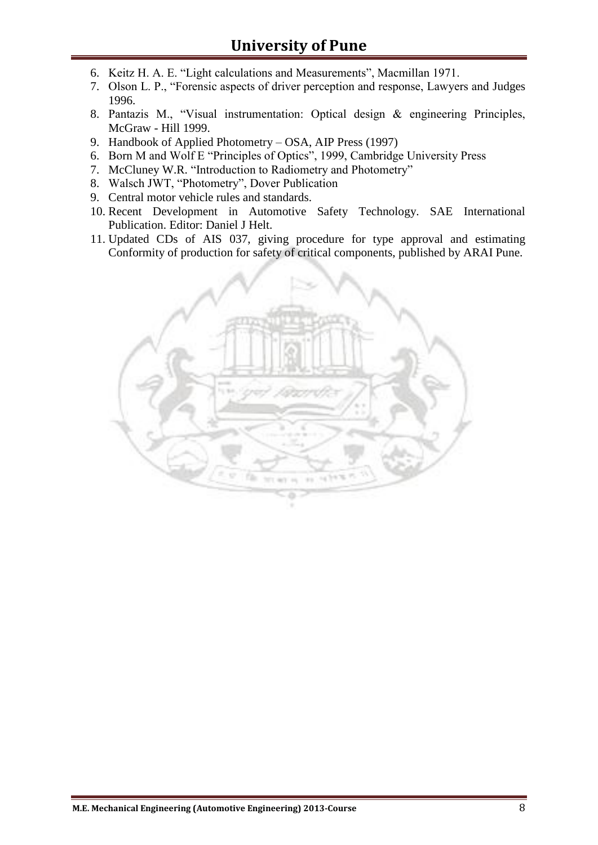- 6. Keitz H. A. E. "Light calculations and Measurements", Macmillan 1971.
- 7. Olson L. P., "Forensic aspects of driver perception and response, Lawyers and Judges 1996.
- 8. Pantazis M., "Visual instrumentation: Optical design & engineering Principles, McGraw - Hill 1999.
- 9. Handbook of Applied Photometry OSA, AIP Press (1997)
- 6. Born M and Wolf E "Principles of Optics", 1999, Cambridge University Press
- 7. McCluney W.R. "Introduction to Radiometry and Photometry"
- 8. Walsch JWT, "Photometry", Dover Publication
- 9. Central motor vehicle rules and standards.
- 10. Recent Development in Automotive Safety Technology. SAE International Publication. Editor: Daniel J Helt.
- 11. Updated CDs of AIS 037, giving procedure for type approval and estimating Conformity of production for safety of critical components, published by ARAI Pune.

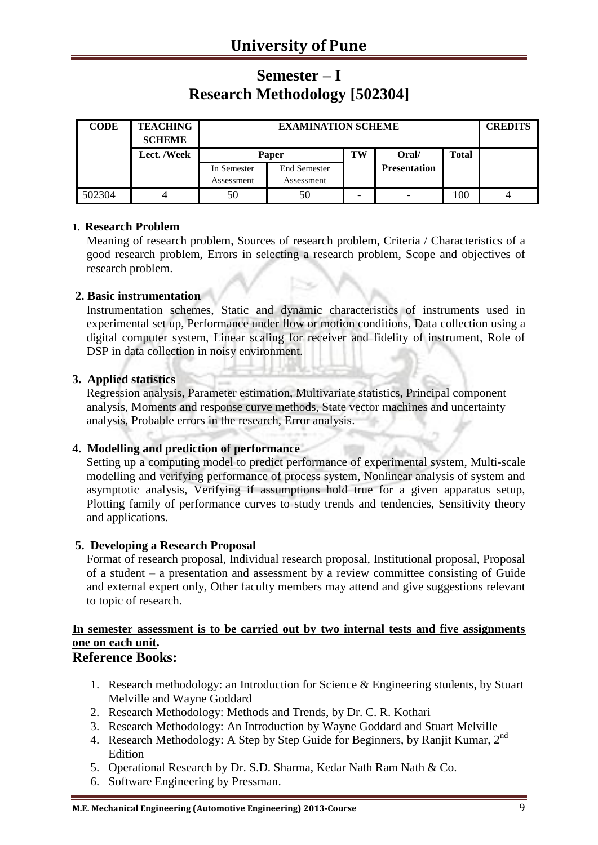## **Semester – I Research Methodology [502304]**

| <b>CODE</b> | <b>TEACHING</b><br><b>SCHEME</b> |             | <b>EXAMINATION SCHEME</b> |    |                     |              |  |  |
|-------------|----------------------------------|-------------|---------------------------|----|---------------------|--------------|--|--|
|             | Lect. /Week                      |             | Paper                     | TW | Oral/               | <b>Total</b> |  |  |
|             |                                  | In Semester | <b>End Semester</b>       |    | <b>Presentation</b> |              |  |  |
|             |                                  | Assessment  | Assessment                |    |                     |              |  |  |
| 502304      |                                  | 50          | 50                        |    |                     | 100          |  |  |

#### **1. Research Problem**

Meaning of research problem, Sources of research problem, Criteria / Characteristics of a good research problem, Errors in selecting a research problem, Scope and objectives of research problem.

#### **2. Basic instrumentation**

Instrumentation schemes, Static and dynamic characteristics of instruments used in experimental set up, Performance under flow or motion conditions, Data collection using a digital computer system, Linear scaling for receiver and fidelity of instrument, Role of DSP in data collection in noisy environment.

#### **3. Applied statistics**

Regression analysis, Parameter estimation, Multivariate statistics, Principal component analysis, Moments and response curve methods, State vector machines and uncertainty analysis, Probable errors in the research, Error analysis.

#### **4. Modelling and prediction of performance**

Setting up a computing model to predict performance of experimental system, Multi-scale modelling and verifying performance of process system, Nonlinear analysis of system and asymptotic analysis, Verifying if assumptions hold true for a given apparatus setup, Plotting family of performance curves to study trends and tendencies, Sensitivity theory and applications.

#### **5. Developing a Research Proposal**

Format of research proposal, Individual research proposal, Institutional proposal, Proposal of a student – a presentation and assessment by a review committee consisting of Guide and external expert only, Other faculty members may attend and give suggestions relevant to topic of research.

### **In semester assessment is to be carried out by two internal tests and five assignments one on each unit.**

- 1. Research methodology: an Introduction for Science & Engineering students, by Stuart Melville and Wayne Goddard
- 2. Research Methodology: Methods and Trends, by Dr. C. R. Kothari
- 3. Research Methodology: An Introduction by Wayne Goddard and Stuart Melville
- 4. Research Methodology: A Step by Step Guide for Beginners, by Ranjit Kumar, 2nd Edition
- 5. Operational Research by Dr. S.D. Sharma, Kedar Nath Ram Nath & Co.
- 6. Software Engineering by Pressman.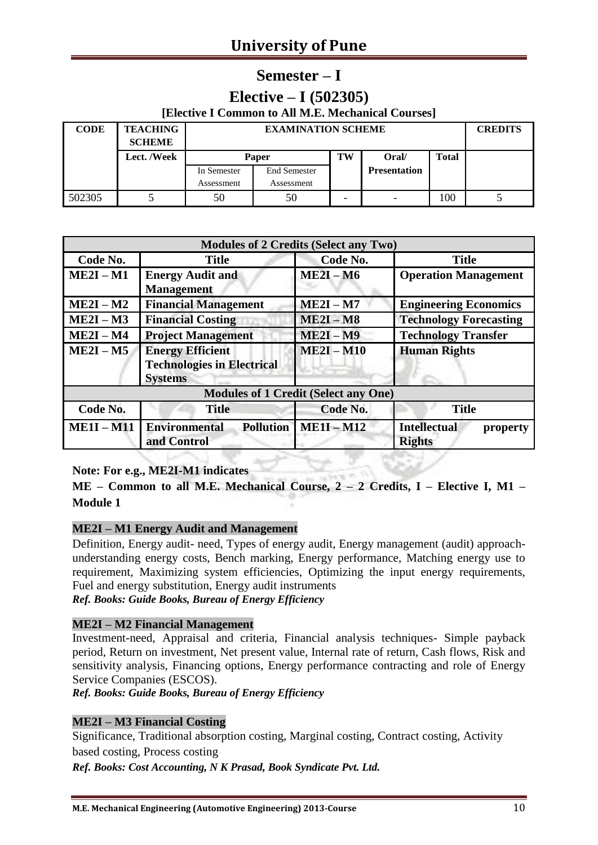### **Semester – I**

### **Elective – I (502305)**

| [Elective I Common to All M.E. Mechanical Courses] |  |
|----------------------------------------------------|--|
|----------------------------------------------------|--|

| <b>CODE</b> | <b>TEACHING</b><br><b>SCHEME</b> |                           | <b>EXAMINATION SCHEME</b>         |    |                     |              |  |  |
|-------------|----------------------------------|---------------------------|-----------------------------------|----|---------------------|--------------|--|--|
|             | Lect. /Week                      |                           | <b>Paper</b>                      | TW | Oral/               | <b>Total</b> |  |  |
|             |                                  | In Semester<br>Assessment | <b>End Semester</b><br>Assessment |    | <b>Presentation</b> |              |  |  |
| 502305      |                                  | 50                        | 50                                |    |                     | 100          |  |  |

|                 |                                                                                | <b>Modules of 2 Credits (Select any Two)</b> |                                                  |
|-----------------|--------------------------------------------------------------------------------|----------------------------------------------|--------------------------------------------------|
| Code No.        | <b>Title</b>                                                                   | Code No.                                     | <b>Title</b>                                     |
| $ME2I - M1$     | <b>Energy Audit and</b><br><b>Management</b>                                   | $ME2I - M6$                                  | <b>Operation Management</b>                      |
| $ME2I - M2$     | <b>Financial Management</b>                                                    | $ME2I - M7$                                  | <b>Engineering Economics</b>                     |
| $ME2I - M3$     | <b>Financial Costing</b>                                                       | $ME2I - M8$                                  | <b>Technology Forecasting</b>                    |
| $ME2I - M4$     | <b>Project Management</b>                                                      | $ME2I - M9$                                  | <b>Technology Transfer</b>                       |
| $ME2I - M5$     | <b>Energy Efficient</b><br><b>Technologies in Electrical</b><br><b>Systems</b> | $ME2I - M10$                                 | <b>Human Rights</b>                              |
|                 |                                                                                | <b>Modules of 1 Credit (Select any One)</b>  |                                                  |
| Code No.        | <b>Title</b>                                                                   | Code No.                                     | <b>Title</b>                                     |
| <b>ME1I-M11</b> | <b>Environmental</b><br><b>Pollution</b><br>and Control                        | $ME1I - M12$                                 | <b>Intellectual</b><br>property<br><b>Rights</b> |

#### **Note: For e.g., ME2I-M1 indicates**

**ME – Common to all M.E. Mechanical Course, 2 – 2 Credits, I – Elective I, M1 – Module 1**

#### **ME2I – M1 Energy Audit and Management**

Definition, Energy audit- need, Types of energy audit, Energy management (audit) approachunderstanding energy costs, Bench marking, Energy performance, Matching energy use to requirement, Maximizing system efficiencies, Optimizing the input energy requirements, Fuel and energy substitution, Energy audit instruments *Ref. Books: Guide Books, Bureau of Energy Efficiency*

#### **ME2I – M2 Financial Management**

Investment-need, Appraisal and criteria, Financial analysis techniques- Simple payback period, Return on investment, Net present value, Internal rate of return, Cash flows, Risk and sensitivity analysis, Financing options, Energy performance contracting and role of Energy Service Companies (ESCOS).

*Ref. Books: Guide Books, Bureau of Energy Efficiency*

#### **ME2I – M3 Financial Costing**

Significance, Traditional absorption costing, Marginal costing, Contract costing, Activity based costing, Process costing

*Ref. Books: Cost Accounting, N K Prasad, Book Syndicate Pvt. Ltd.*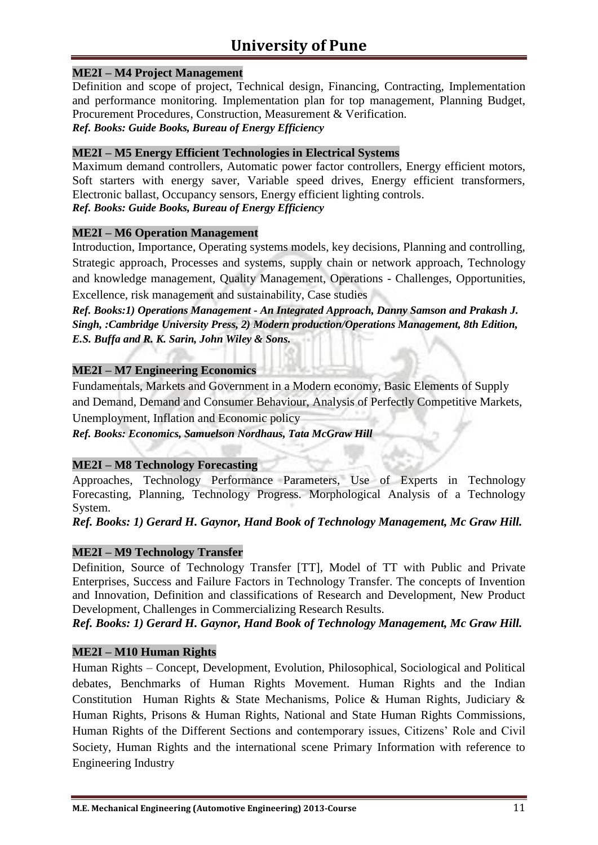#### **ME2I – M4 Project Management**

Definition and scope of project, Technical design, Financing, Contracting, Implementation and performance monitoring. Implementation plan for top management, Planning Budget, Procurement Procedures, Construction, Measurement & Verification.

*Ref. Books: Guide Books, Bureau of Energy Efficiency*

#### **ME2I – M5 Energy Efficient Technologies in Electrical Systems**

Maximum demand controllers, Automatic power factor controllers, Energy efficient motors, Soft starters with energy saver, Variable speed drives, Energy efficient transformers, Electronic ballast, Occupancy sensors, Energy efficient lighting controls. *Ref. Books: Guide Books, Bureau of Energy Efficiency*

#### **ME2I – M6 Operation Management**

Introduction, Importance, Operating systems models, key decisions, Planning and controlling, Strategic approach, Processes and systems, supply chain or network approach, Technology and knowledge management, Quality Management, Operations - Challenges, Opportunities, Excellence, risk management and sustainability, Case studies

*Ref. Books:1) Operations Management - An Integrated Approach, Danny Samson and Prakash J. Singh, :Cambridge University Press, 2) Modern production/Operations Management, 8th Edition, E.S. Buffa and R. K. Sarin, John Wiley & Sons.*

#### **ME2I – M7 Engineering Economics**

Fundamentals, Markets and Government in a Modern economy, Basic Elements of Supply and Demand, Demand and Consumer Behaviour, Analysis of Perfectly Competitive Markets, Unemployment, Inflation and Economic policy

*Ref. Books: Economics, Samuelson Nordhaus, Tata McGraw Hill*

#### **ME2I – M8 Technology Forecasting**

Approaches, Technology Performance Parameters, Use of Experts in Technology Forecasting, Planning, Technology Progress. Morphological Analysis of a Technology System.

*Ref. Books: 1) Gerard H. Gaynor, Hand Book of Technology Management, Mc Graw Hill.*

#### **ME2I – M9 Technology Transfer**

Definition, Source of Technology Transfer [TT], Model of TT with Public and Private Enterprises, Success and Failure Factors in Technology Transfer. The concepts of Invention and Innovation, Definition and classifications of Research and Development, New Product Development, Challenges in Commercializing Research Results.

*Ref. Books: 1) Gerard H. Gaynor, Hand Book of Technology Management, Mc Graw Hill.*

#### **ME2I – M10 Human Rights**

Human Rights – Concept, Development, Evolution, Philosophical, Sociological and Political debates, Benchmarks of Human Rights Movement. Human Rights and the Indian Constitution Human Rights & State Mechanisms, Police & Human Rights, Judiciary & Human Rights, Prisons & Human Rights, National and State Human Rights Commissions, Human Rights of the Different Sections and contemporary issues, Citizens' Role and Civil Society, Human Rights and the international scene Primary Information with reference to Engineering Industry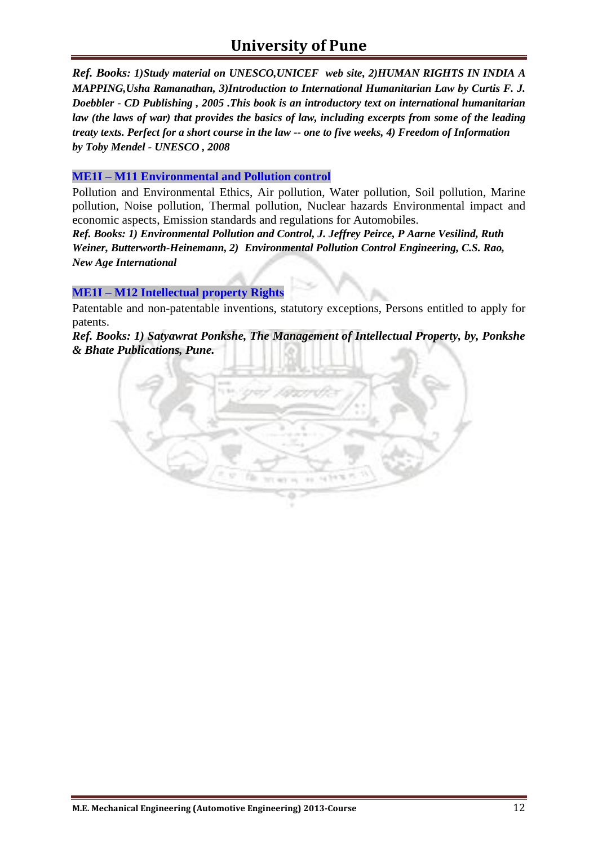*Ref. Books: 1)Study material on UNESCO,UNICEF web site, 2)HUMAN RIGHTS IN INDIA A MAPPING,Usha Ramanathan, 3)Introduction to International Humanitarian Law by Curtis F. J. Doebbler - CD Publishing , 2005 .This book is an introductory text on international humanitarian law (the laws of war) that provides the basics of law, including excerpts from some of the leading treaty texts. Perfect for a short course in the law -- one to five weeks, 4) Freedom of Information by Toby Mendel - UNESCO , 2008*

#### **ME1I – M11 Environmental and Pollution control**

Pollution and Environmental Ethics, Air pollution, Water pollution, Soil pollution, Marine pollution, Noise pollution, Thermal pollution, Nuclear hazards Environmental impact and economic aspects, Emission standards and regulations for Automobiles.

*Ref. Books: 1) Environmental Pollution and Control, [J. Jeffrey Peirce,](http://www.google.co.in/search?tbo=p&tbm=bks&q=inauthor:%22J.+Jeffrey+Peirce%22) [P Aarne Vesilind,](http://www.google.co.in/search?tbo=p&tbm=bks&q=inauthor:%22P+Aarne+Vesilind%22) [Ruth](http://www.google.co.in/search?tbo=p&tbm=bks&q=inauthor:%22Ruth+Weiner%22)  [Weiner,](http://www.google.co.in/search?tbo=p&tbm=bks&q=inauthor:%22Ruth+Weiner%22) Butterworth-Heinemann, 2) Environmental Pollution Control Engineering, C.S. Rao, New Age International*

#### **ME1I – M12 Intellectual property Rights**

Patentable and non-patentable inventions, statutory exceptions, Persons entitled to apply for patents.

*Ref. Books: 1) Satyawrat Ponkshe, The Management of Intellectual Property, by, Ponkshe & Bhate Publications, Pune.*

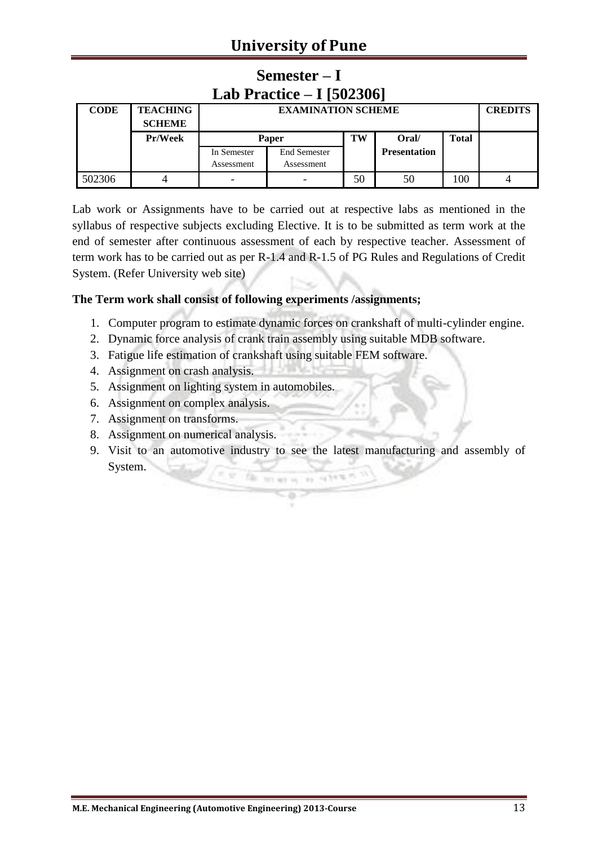# **University of Pune**

| Lab Practice $-$ I [502306] |                                  |             |                           |    |                     |              |  |  |
|-----------------------------|----------------------------------|-------------|---------------------------|----|---------------------|--------------|--|--|
| <b>CODE</b>                 | <b>TEACHING</b><br><b>SCHEME</b> |             | <b>EXAMINATION SCHEME</b> |    |                     |              |  |  |
|                             | Pr/Week                          | Paper       |                           | TW | Oral/               | <b>Total</b> |  |  |
|                             |                                  | In Semester | <b>End Semester</b>       |    | <b>Presentation</b> |              |  |  |
|                             |                                  | Assessment  | Assessment                |    |                     |              |  |  |
| 502306                      |                                  | -           |                           | 50 | 50                  | 100          |  |  |

# **Semester – I**

Lab work or Assignments have to be carried out at respective labs as mentioned in the syllabus of respective subjects excluding Elective. It is to be submitted as term work at the end of semester after continuous assessment of each by respective teacher. Assessment of term work has to be carried out as per R-1.4 and R-1.5 of PG Rules and Regulations of Credit System. (Refer University web site)

#### **The Term work shall consist of following experiments /assignments;**

- 1. Computer program to estimate dynamic forces on crankshaft of multi-cylinder engine.
- 2. Dynamic force analysis of crank train assembly using suitable MDB software.
- 3. Fatigue life estimation of crankshaft using suitable FEM software.
- 4. Assignment on crash analysis.
- 5. Assignment on lighting system in automobiles.
- 6. Assignment on complex analysis.
- 7. Assignment on transforms.
- 8. Assignment on numerical analysis.
- 9. Visit to an automotive industry to see the latest manufacturing and assembly of System.**CO OF HEALTH AT HARAL**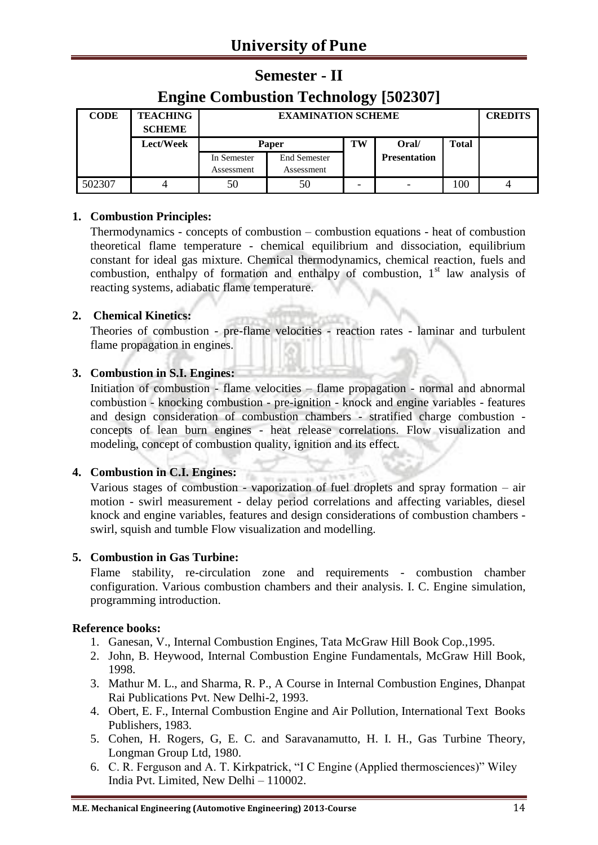## **Semester - II**

## **Engine Combustion Technology [502307]**

| <b>CODE</b> | <b>TEACHING</b><br><b>SCHEME</b> |                           | <b>EXAMINATION SCHEME</b>         |    |                     |              |  |  |
|-------------|----------------------------------|---------------------------|-----------------------------------|----|---------------------|--------------|--|--|
|             | Lect/Week                        | <b>Paper</b>              |                                   | TW | Oral/               | <b>Total</b> |  |  |
|             |                                  | In Semester<br>Assessment | <b>End Semester</b><br>Assessment |    | <b>Presentation</b> |              |  |  |
| 502307      |                                  | 50                        | 50                                |    |                     | 100          |  |  |

#### **1. Combustion Principles:**

Thermodynamics - concepts of combustion – combustion equations - heat of combustion theoretical flame temperature - chemical equilibrium and dissociation, equilibrium constant for ideal gas mixture. Chemical thermodynamics, chemical reaction, fuels and combustion, enthalpy of formation and enthalpy of combustion,  $1<sup>st</sup>$  law analysis of reacting systems, adiabatic flame temperature.

#### **2. Chemical Kinetics:**

Theories of combustion - pre-flame velocities - reaction rates - laminar and turbulent flame propagation in engines.

#### **3. Combustion in S.I. Engines:**

Initiation of combustion - flame velocities – flame propagation - normal and abnormal combustion - knocking combustion - pre-ignition - knock and engine variables - features and design consideration of combustion chambers - stratified charge combustion concepts of lean burn engines - heat release correlations. Flow visualization and modeling, concept of combustion quality, ignition and its effect.

#### **4. Combustion in C.I. Engines:**

Various stages of combustion - vaporization of fuel droplets and spray formation – air motion - swirl measurement - delay period correlations and affecting variables, diesel knock and engine variables, features and design considerations of combustion chambers swirl, squish and tumble Flow visualization and modelling.

#### **5. Combustion in Gas Turbine:**

Flame stability, re-circulation zone and requirements - combustion chamber configuration. Various combustion chambers and their analysis. I. C. Engine simulation, programming introduction.

- 1. Ganesan, V., Internal Combustion Engines, Tata McGraw Hill Book Cop.,1995.
- 2. John, B. Heywood, Internal Combustion Engine Fundamentals, McGraw Hill Book, 1998.
- 3. Mathur M. L., and Sharma, R. P., A Course in Internal Combustion Engines, Dhanpat Rai Publications Pvt. New Delhi-2, 1993.
- 4. Obert, E. F., Internal Combustion Engine and Air Pollution, International Text Books Publishers, 1983.
- 5. Cohen, H. Rogers, G, E. C. and Saravanamutto, H. I. H., Gas Turbine Theory, Longman Group Ltd, 1980.
- 6. C. R. Ferguson and A. T. Kirkpatrick, "I C Engine (Applied thermosciences)" Wiley India Pvt. Limited, New Delhi – 110002.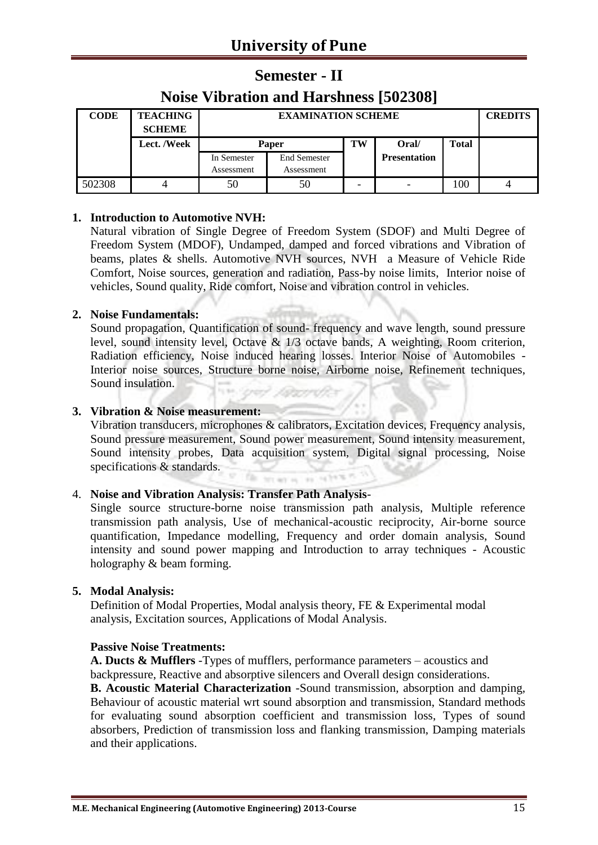## **Semester - II**

### **Noise Vibration and Harshness [502308]**

| <b>CODE</b> | <b>TEACHING</b><br><b>SCHEME</b> |                           | <b>EXAMINATION SCHEME</b>         |    |                     |              |  |
|-------------|----------------------------------|---------------------------|-----------------------------------|----|---------------------|--------------|--|
|             | Lect. /Week                      | Paper                     |                                   | TW | Oral/               | <b>Total</b> |  |
|             |                                  | In Semester<br>Assessment | <b>End Semester</b><br>Assessment |    | <b>Presentation</b> |              |  |
| 502308      |                                  | 50                        | 50                                |    |                     | 100          |  |

#### **1. Introduction to Automotive NVH:**

Natural vibration of Single Degree of Freedom System (SDOF) and Multi Degree of Freedom System (MDOF), Undamped, damped and forced vibrations and Vibration of beams, plates & shells. Automotive NVH sources, NVH a Measure of Vehicle Ride Comfort, Noise sources, generation and radiation, Pass-by noise limits, Interior noise of vehicles, Sound quality, Ride comfort, Noise and vibration control in vehicles.

#### **2. Noise Fundamentals:**

Sound propagation, Quantification of sound- frequency and wave length, sound pressure level, sound intensity level, Octave & 1/3 octave bands, A weighting, Room criterion, Radiation efficiency, Noise induced hearing losses. Interior Noise of Automobiles - Interior noise sources, Structure borne noise, Airborne noise, Refinement techniques, Sound insulation. **IN ORIGINAL** 

#### **3. Vibration & Noise measurement:**

Vibration transducers, microphones & calibrators, Excitation devices, Frequency analysis, Sound pressure measurement, Sound power measurement, Sound intensity measurement, Sound intensity probes, Data acquisition system, Digital signal processing, Noise specifications & standards. **CONTRACTOR** 

#### 4. **Noise and Vibration Analysis: Transfer Path Analysis**-

Single source structure-borne noise transmission path analysis, Multiple reference transmission path analysis, Use of mechanical-acoustic reciprocity, Air-borne source quantification, Impedance modelling, Frequency and order domain analysis, Sound intensity and sound power mapping and Introduction to array techniques - Acoustic holography & beam forming.

#### **5. Modal Analysis:**

Definition of Modal Properties, Modal analysis theory, FE & Experimental modal analysis, Excitation sources, Applications of Modal Analysis.

#### **Passive Noise Treatments:**

**A. Ducts & Mufflers** -Types of mufflers, performance parameters – acoustics and backpressure, Reactive and absorptive silencers and Overall design considerations.

**B. Acoustic Material Characterization** -Sound transmission, absorption and damping, Behaviour of acoustic material wrt sound absorption and transmission, Standard methods for evaluating sound absorption coefficient and transmission loss, Types of sound absorbers, Prediction of transmission loss and flanking transmission, Damping materials and their applications.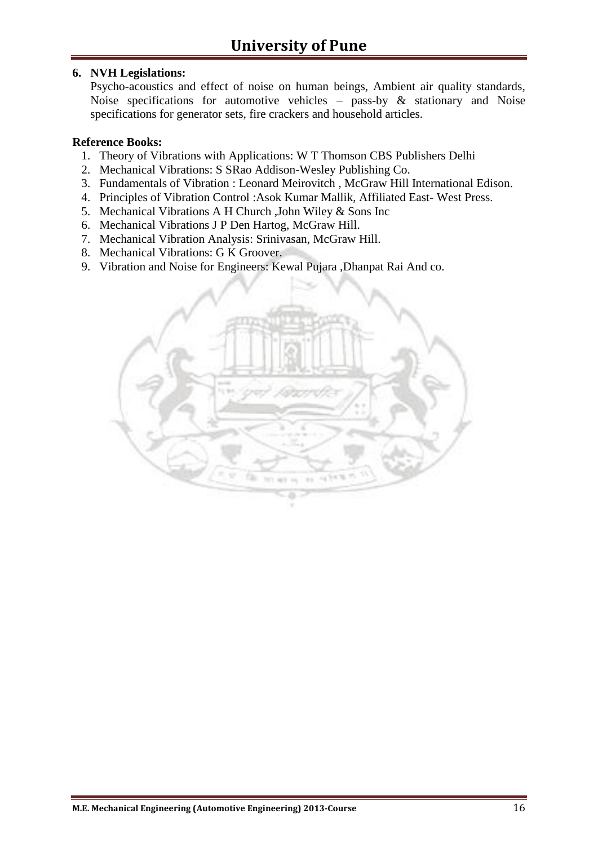#### **6. NVH Legislations:**

Psycho-acoustics and effect of noise on human beings, Ambient air quality standards, Noise specifications for automotive vehicles – pass-by & stationary and Noise specifications for generator sets, fire crackers and household articles.

- 1. Theory of Vibrations with Applications: W T Thomson CBS Publishers Delhi
- 2. Mechanical Vibrations: S SRao Addison-Wesley Publishing Co.
- 3. Fundamentals of Vibration : Leonard Meirovitch , McGraw Hill International Edison.
- 4. Principles of Vibration Control :Asok Kumar Mallik, Affiliated East- West Press.
- 5. Mechanical Vibrations A H Church ,John Wiley & Sons Inc
- 6. Mechanical Vibrations J P Den Hartog, McGraw Hill.
- 7. Mechanical Vibration Analysis: Srinivasan, McGraw Hill.
- 8. Mechanical Vibrations: G K Groover.
- 9. Vibration and Noise for Engineers: Kewal Pujara ,Dhanpat Rai And co.

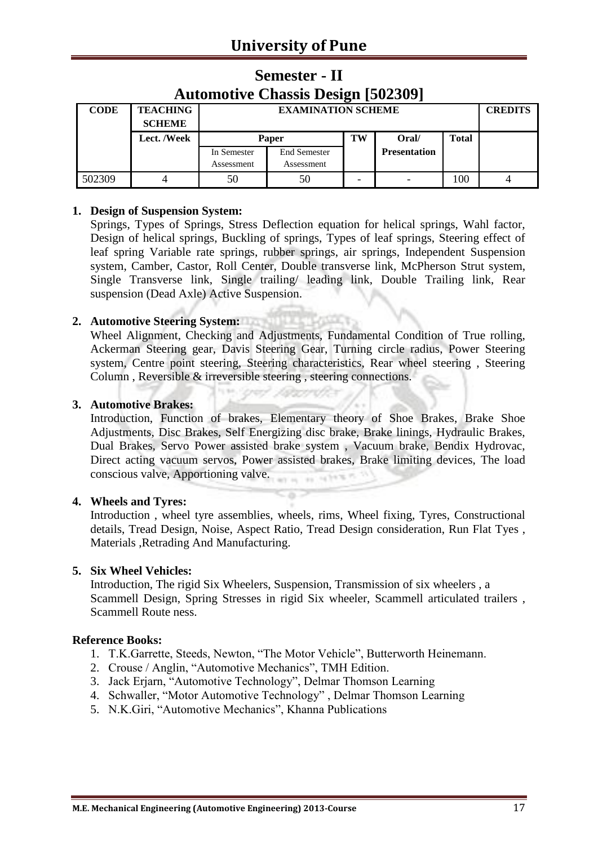| <b>Automotive Chassis Design [502309]</b> |                                  |             |                           |    |                     |              |  |  |  |
|-------------------------------------------|----------------------------------|-------------|---------------------------|----|---------------------|--------------|--|--|--|
| <b>CODE</b>                               | <b>TEACHING</b><br><b>SCHEME</b> |             | <b>EXAMINATION SCHEME</b> |    |                     |              |  |  |  |
|                                           | Lect. /Week                      | Paper       |                           | TW | Oral/               | <b>Total</b> |  |  |  |
|                                           |                                  | In Semester | <b>End Semester</b>       |    | <b>Presentation</b> |              |  |  |  |
|                                           |                                  | Assessment  | Assessment                |    |                     |              |  |  |  |
| 502309                                    |                                  | 50          | 50                        |    |                     | 100          |  |  |  |

## **Semester - II Automotive Chassis Design [502309]**

#### **1. Design of Suspension System:**

Springs, Types of Springs, Stress Deflection equation for helical springs, Wahl factor, Design of helical springs, Buckling of springs, Types of leaf springs, Steering effect of leaf spring Variable rate springs, rubber springs, air springs, Independent Suspension system, Camber, Castor, Roll Center, Double transverse link, McPherson Strut system, Single Transverse link, Single trailing/ leading link, Double Trailing link, Rear suspension (Dead Axle) Active Suspension.

# **2. Automotive Steering System:**

Wheel Alignment, Checking and Adjustments, Fundamental Condition of True rolling, Ackerman Steering gear, Davis Steering Gear, Turning circle radius, Power Steering system, Centre point steering, Steering characteristics, Rear wheel steering , Steering Column , Reversible & irreversible steering , steering connections.

#### **3. Automotive Brakes:**

Introduction, Function of brakes, Elementary theory of Shoe Brakes, Brake Shoe Adjustments, Disc Brakes, Self Energizing disc brake, Brake linings, Hydraulic Brakes, Dual Brakes, Servo Power assisted brake system , Vacuum brake, Bendix Hydrovac, Direct acting vacuum servos, Power assisted brakes, Brake limiting devices, The load conscious valve, Apportioning valve. on referent

#### **4. Wheels and Tyres:**

Introduction , wheel tyre assemblies, wheels, rims, Wheel fixing, Tyres, Constructional details, Tread Design, Noise, Aspect Ratio, Tread Design consideration, Run Flat Tyes , Materials ,Retrading And Manufacturing.

#### **5. Six Wheel Vehicles:**

Introduction, The rigid Six Wheelers, Suspension, Transmission of six wheelers , a Scammell Design, Spring Stresses in rigid Six wheeler, Scammell articulated trailers , Scammell Route ness.

- 1. T.K.Garrette, Steeds, Newton, "The Motor Vehicle", Butterworth Heinemann.
- 2. Crouse / Anglin, "Automotive Mechanics", TMH Edition.
- 3. Jack Erjarn, "Automotive Technology", Delmar Thomson Learning
- 4. Schwaller, "Motor Automotive Technology" , Delmar Thomson Learning
- 5. N.K.Giri, "Automotive Mechanics", Khanna Publications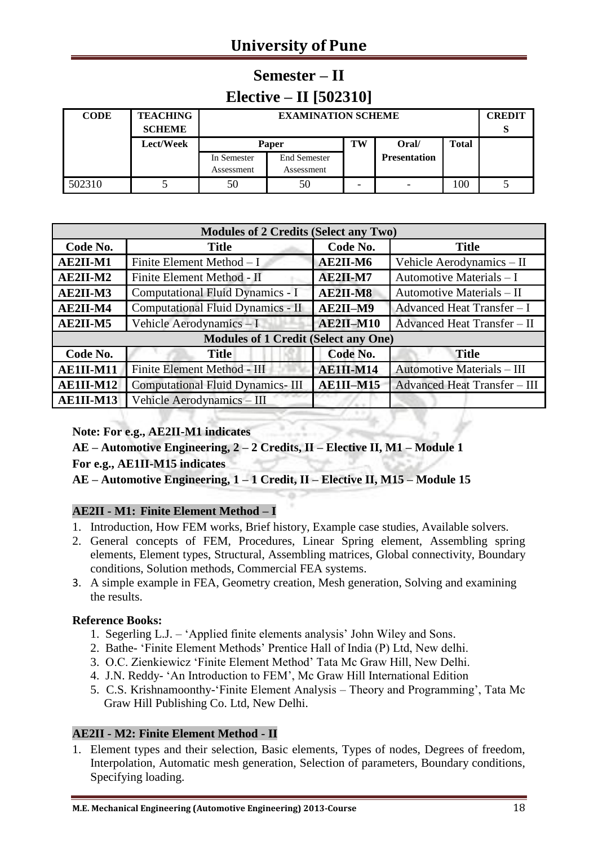# **University of Pune**

# **Semester – II Elective – II [502310]**

| <b>CODE</b> | <b>TEACHING</b> |             | <b>EXAMINATION SCHEME</b> |    |                     |              |  |  |  |
|-------------|-----------------|-------------|---------------------------|----|---------------------|--------------|--|--|--|
|             | <b>SCHEME</b>   |             |                           |    |                     |              |  |  |  |
|             | Lect/Week       | Paper       |                           | TW | Oral/               | <b>Total</b> |  |  |  |
|             |                 | In Semester | <b>End Semester</b>       |    | <b>Presentation</b> |              |  |  |  |
|             |                 | Assessment  | Assessment                |    |                     |              |  |  |  |
| 502310      |                 | 50          | 50                        |    |                     | 100          |  |  |  |

| <b>Modules of 2 Credits (Select any Two)</b> |                                             |            |                                     |  |  |  |  |  |
|----------------------------------------------|---------------------------------------------|------------|-------------------------------------|--|--|--|--|--|
| Code No.                                     | <b>Title</b>                                | Code No.   | <b>Title</b>                        |  |  |  |  |  |
| AE2II-M1                                     | Finite Element Method - I                   | AE2II-M6   | Vehicle Aerodynamics - II           |  |  |  |  |  |
| $AE2II-M2$                                   | Finite Element Method - II                  | $AE2II-M7$ | Automotive Materials - I            |  |  |  |  |  |
| AE2II-M3                                     | Computational Fluid Dynamics - I            | $AE2II-M8$ | Automotive Materials - II           |  |  |  |  |  |
| AE2II-M4                                     | Computational Fluid Dynamics - II           | AE2II-M9   | Advanced Heat Transfer - I          |  |  |  |  |  |
| AE2II-M5                                     | Vehicle Aerodynamics - I                    | AE2II-M10  | Advanced Heat Transfer - II         |  |  |  |  |  |
|                                              | <b>Modules of 1 Credit (Select any One)</b> |            |                                     |  |  |  |  |  |
| Code No.                                     | <b>Title</b>                                | Code No.   | <b>Title</b>                        |  |  |  |  |  |
| AE1II-M11                                    | Finite Element Method - III                 | AE1II-M14  | <b>Automotive Materials - III</b>   |  |  |  |  |  |
| AE1II-M12                                    | <b>Computational Fluid Dynamics-III</b>     | AE1II-M15  | <b>Advanced Heat Transfer - III</b> |  |  |  |  |  |
| AE1II-M13                                    | Vehicle Aerodynamics - III                  |            |                                     |  |  |  |  |  |

#### **Note: For e.g., AE2II-M1 indicates**

**AE – Automotive Engineering, 2 – 2 Credits, II – Elective II, M1 – Module 1 For e.g., AE1II-M15 indicates**

**AE – Automotive Engineering, 1 – 1 Credit, II – Elective II, M15 – Module 15**

#### **AE2II - M1: Finite Element Method – I**

- 1. Introduction, How FEM works, Brief history, Example case studies, Available solvers.
- 2. General concepts of FEM, Procedures, Linear Spring element, Assembling spring elements, Element types, Structural, Assembling matrices, Global connectivity, Boundary conditions, Solution methods, Commercial FEA systems.
- 3. A simple example in FEA, Geometry creation, Mesh generation, Solving and examining the results.

#### **Reference Books:**

- 1. Segerling L.J. 'Applied finite elements analysis' John Wiley and Sons.
- 2. Bathe- 'Finite Element Methods' Prentice Hall of India (P) Ltd, New delhi.
- 3. O.C. Zienkiewicz 'Finite Element Method' Tata Mc Graw Hill, New Delhi.
- 4. J.N. Reddy- 'An Introduction to FEM', Mc Graw Hill International Edition
- 5. C.S. Krishnamoonthy-'Finite Element Analysis Theory and Programming', Tata Mc Graw Hill Publishing Co. Ltd, New Delhi.

#### **AE2II - M2: Finite Element Method - II**

1. Element types and their selection, Basic elements, Types of nodes, Degrees of freedom, Interpolation, Automatic mesh generation, Selection of parameters, Boundary conditions, Specifying loading.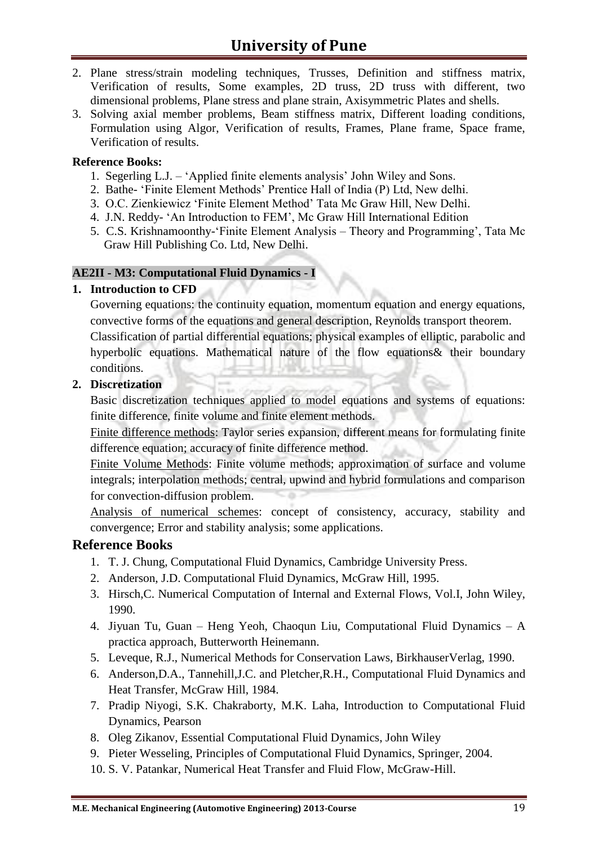- 2. Plane stress/strain modeling techniques, Trusses, Definition and stiffness matrix, Verification of results, Some examples, 2D truss, 2D truss with different, two dimensional problems, Plane stress and plane strain, Axisymmetric Plates and shells.
- 3. Solving axial member problems, Beam stiffness matrix, Different loading conditions, Formulation using Algor, Verification of results, Frames, Plane frame, Space frame, Verification of results.

#### **Reference Books:**

- 1. Segerling L.J. 'Applied finite elements analysis' John Wiley and Sons.
- 2. Bathe- 'Finite Element Methods' Prentice Hall of India (P) Ltd, New delhi.
- 3. O.C. Zienkiewicz 'Finite Element Method' Tata Mc Graw Hill, New Delhi.
- 4. J.N. Reddy- 'An Introduction to FEM', Mc Graw Hill International Edition
- 5. C.S. Krishnamoonthy-'Finite Element Analysis Theory and Programming', Tata Mc Graw Hill Publishing Co. Ltd, New Delhi.

#### **AE2II - M3: Computational Fluid Dynamics - I**

#### **1. Introduction to CFD**

Governing equations: the continuity equation, momentum equation and energy equations, convective forms of the equations and general description, Reynolds transport theorem.

Classification of partial differential equations; physical examples of elliptic, parabolic and hyperbolic equations. Mathematical nature of the flow equations& their boundary conditions.

#### **2. Discretization**

Basic discretization techniques applied to model equations and systems of equations: finite difference, finite volume and finite element methods.

Finite difference methods: Taylor series expansion, different means for formulating finite difference equation; accuracy of finite difference method.

Finite Volume Methods: Finite volume methods; approximation of surface and volume integrals; interpolation methods; central, upwind and hybrid formulations and comparison for convection-diffusion problem.

Analysis of numerical schemes: concept of consistency, accuracy, stability and convergence; Error and stability analysis; some applications.

- 1. T. J. Chung, Computational Fluid Dynamics, Cambridge University Press.
- 2. Anderson, J.D. Computational Fluid Dynamics, McGraw Hill, 1995.
- 3. Hirsch,C. Numerical Computation of Internal and External Flows, Vol.I, John Wiley, 1990.
- 4. Jiyuan Tu, Guan Heng Yeoh, Chaoqun Liu, Computational Fluid Dynamics A practica approach, Butterworth Heinemann.
- 5. Leveque, R.J., Numerical Methods for Conservation Laws, BirkhauserVerlag, 1990.
- 6. Anderson,D.A., Tannehill,J.C. and Pletcher,R.H., Computational Fluid Dynamics and Heat Transfer, McGraw Hill, 1984.
- 7. Pradip Niyogi, S.K. Chakraborty, M.K. Laha, Introduction to Computational Fluid Dynamics, Pearson
- 8. Oleg Zikanov, Essential Computational Fluid Dynamics, John Wiley
- 9. Pieter Wesseling, Principles of Computational Fluid Dynamics, Springer, 2004.
- 10. S. V. Patankar, Numerical Heat Transfer and Fluid Flow, McGraw-Hill.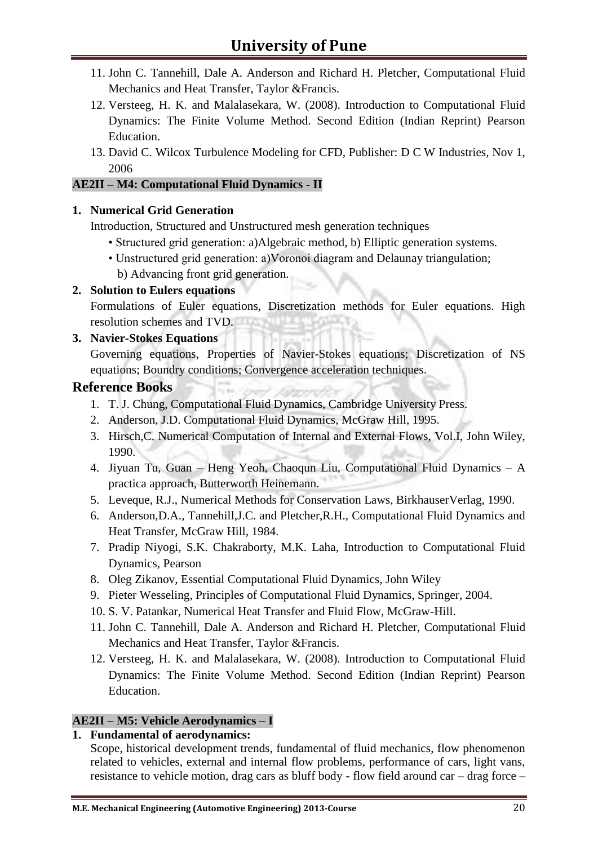- 11. John C. Tannehill, Dale A. Anderson and Richard H. Pletcher, Computational Fluid Mechanics and Heat Transfer, Taylor &Francis.
- 12. Versteeg, H. K. and Malalasekara, W. (2008). Introduction to Computational Fluid Dynamics: The Finite Volume Method. Second Edition (Indian Reprint) Pearson Education.
- 13. David C. Wilcox Turbulence Modeling for CFD, Publisher: D C W Industries, Nov 1, 2006

#### **AE2II – M4: Computational Fluid Dynamics - II**

#### **1. Numerical Grid Generation**

Introduction, Structured and Unstructured mesh generation techniques

- Structured grid generation: a)Algebraic method, b) Elliptic generation systems.
- Unstructured grid generation: a)Voronoi diagram and Delaunay triangulation;

b) Advancing front grid generation.

#### **2. Solution to Eulers equations**

Formulations of Euler equations, Discretization methods for Euler equations. High resolution schemes and TVD.

#### **3. Navier-Stokes Equations**

Governing equations, Properties of Navier-Stokes equations; Discretization of NS equations; Boundry conditions; Convergence acceleration techniques.

#### **Reference Books**

- 1. T. J. Chung, Computational Fluid Dynamics, Cambridge University Press.
- 2. Anderson, J.D. Computational Fluid Dynamics, McGraw Hill, 1995.
- 3. Hirsch,C. Numerical Computation of Internal and External Flows, Vol.I, John Wiley, 1990.
- 4. Jiyuan Tu, Guan Heng Yeoh, Chaoqun Liu, Computational Fluid Dynamics A practica approach, Butterworth Heinemann.
- 5. Leveque, R.J., Numerical Methods for Conservation Laws, BirkhauserVerlag, 1990.
- 6. Anderson,D.A., Tannehill,J.C. and Pletcher,R.H., Computational Fluid Dynamics and Heat Transfer, McGraw Hill, 1984.
- 7. Pradip Niyogi, S.K. Chakraborty, M.K. Laha, Introduction to Computational Fluid Dynamics, Pearson
- 8. Oleg Zikanov, Essential Computational Fluid Dynamics, John Wiley
- 9. Pieter Wesseling, Principles of Computational Fluid Dynamics, Springer, 2004.
- 10. S. V. Patankar, Numerical Heat Transfer and Fluid Flow, McGraw-Hill.
- 11. John C. Tannehill, Dale A. Anderson and Richard H. Pletcher, Computational Fluid Mechanics and Heat Transfer, Taylor &Francis.
- 12. Versteeg, H. K. and Malalasekara, W. (2008). Introduction to Computational Fluid Dynamics: The Finite Volume Method. Second Edition (Indian Reprint) Pearson Education.

#### **AE2II – M5: Vehicle Aerodynamics – I**

#### **1. Fundamental of aerodynamics:**

Scope, historical development trends, fundamental of fluid mechanics, flow phenomenon related to vehicles, external and internal flow problems, performance of cars, light vans, resistance to vehicle motion, drag cars as bluff body - flow field around car – drag force –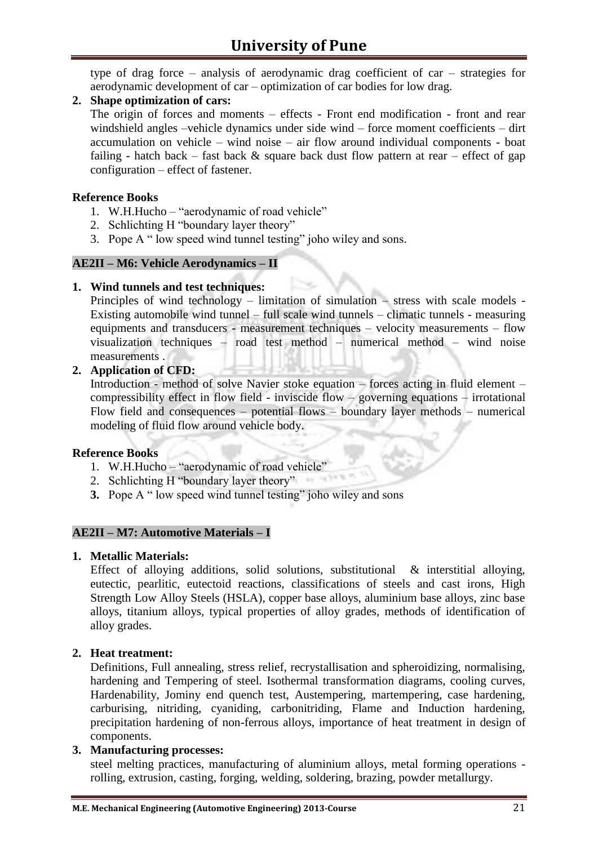type of drag force – analysis of aerodynamic drag coefficient of car – strategies for aerodynamic development of car – optimization of car bodies for low drag.

#### **2. Shape optimization of cars:**

The origin of forces and moments – effects - Front end modification - front and rear windshield angles –vehicle dynamics under side wind – force moment coefficients – dirt accumulation on vehicle – wind noise – air flow around individual components - boat failing - hatch back – fast back & square back dust flow pattern at rear – effect of gap configuration – effect of fastener.

#### **Reference Books**

- 1. W.H.Hucho "aerodynamic of road vehicle"
- 2. Schlichting H "boundary layer theory"
- 3. Pope A " low speed wind tunnel testing" joho wiley and sons.

#### **AE2II – M6: Vehicle Aerodynamics – II**

#### **1. Wind tunnels and test techniques:**

Principles of wind technology – limitation of simulation – stress with scale models - Existing automobile wind tunnel – full scale wind tunnels – climatic tunnels - measuring equipments and transducers - measurement techniques – velocity measurements – flow visualization techniques – road test method – numerical method – wind noise measurements .

#### **2. Application of CFD:**

Introduction - method of solve Navier stoke equation – forces acting in fluid element – compressibility effect in flow field - inviscide flow – governing equations – irrotational Flow field and consequences – potential flows – boundary layer methods – numerical modeling of fluid flow around vehicle body.

#### **Reference Books**

- 1. W.H.Hucho "aerodynamic of road vehicle"
- 2. Schlichting H "boundary layer theory"
- **3.** Pope A " low speed wind tunnel testing" joho wiley and sons

#### **AE2II – M7: Automotive Materials – I**

#### **1. Metallic Materials:**

Effect of alloying additions, solid solutions, substitutional & interstitial alloying, eutectic, pearlitic, eutectoid reactions, classifications of steels and cast irons, High Strength Low Alloy Steels (HSLA), copper base alloys, aluminium base alloys, zinc base alloys, titanium alloys, typical properties of alloy grades, methods of identification of alloy grades.

#### **2. Heat treatment:**

Definitions, Full annealing, stress relief, recrystallisation and spheroidizing, normalising, hardening and Tempering of steel. Isothermal transformation diagrams, cooling curves, Hardenability, Jominy end quench test, Austempering, martempering, case hardening, carburising, nitriding, cyaniding, carbonitriding, Flame and Induction hardening, precipitation hardening of non-ferrous alloys, importance of heat treatment in design of components.

#### **3. Manufacturing processes:**

steel melting practices, manufacturing of aluminium alloys, metal forming operations rolling, extrusion, casting, forging, welding, soldering, brazing, powder metallurgy.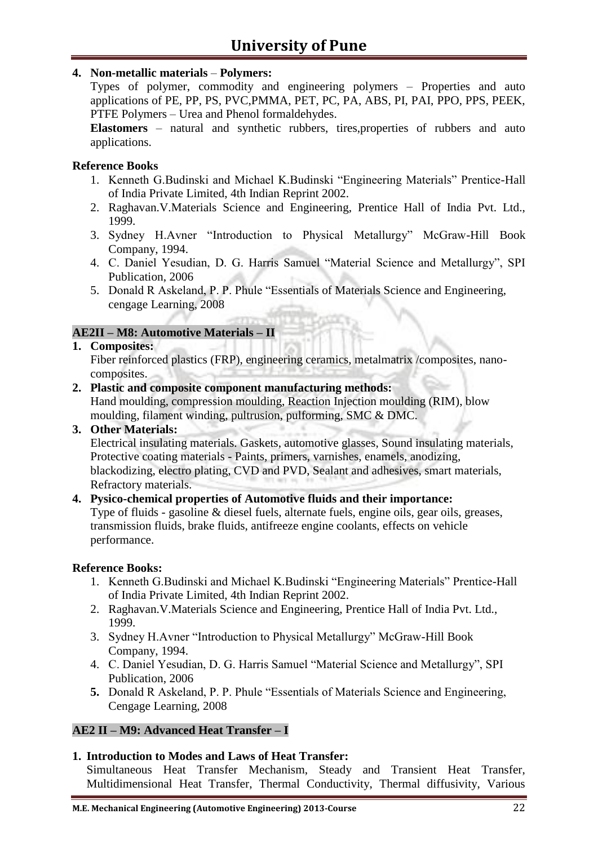#### **4. Non-metallic materials** – **Polymers:**

Types of polymer, commodity and engineering polymers – Properties and auto applications of PE, PP, PS, PVC,PMMA, PET, PC, PA, ABS, PI, PAI, PPO, PPS, PEEK, PTFE Polymers – Urea and Phenol formaldehydes.

**Elastomers** – natural and synthetic rubbers, tires,properties of rubbers and auto applications.

#### **Reference Books**

- 1. Kenneth G.Budinski and Michael K.Budinski "Engineering Materials" Prentice-Hall of India Private Limited, 4th Indian Reprint 2002.
- 2. Raghavan.V.Materials Science and Engineering, Prentice Hall of India Pvt. Ltd., 1999.
- 3. Sydney H.Avner "Introduction to Physical Metallurgy" McGraw-Hill Book Company, 1994.
- 4. C. Daniel Yesudian, D. G. Harris Samuel "Material Science and Metallurgy", SPI Publication, 2006
- 5. Donald R Askeland, P. P. Phule "Essentials of Materials Science and Engineering, cengage Learning, 2008

#### **AE2II – M8: Automotive Materials – II**

#### **1. Composites:**

Fiber reinforced plastics (FRP), engineering ceramics, metalmatrix /composites, nanocomposites.

**2. Plastic and composite component manufacturing methods:**

Hand moulding, compression moulding, Reaction Injection moulding (RIM), blow moulding, filament winding, pultrusion, pulforming, SMC & DMC.

#### **3. Other Materials:**

Electrical insulating materials. Gaskets, automotive glasses, Sound insulating materials, Protective coating materials - Paints, primers, varnishes, enamels, anodizing, blackodizing, electro plating, CVD and PVD, Sealant and adhesives, smart materials, Refractory materials.

#### **4. Pysico-chemical properties of Automotive fluids and their importance:**

Type of fluids - gasoline & diesel fuels, alternate fuels, engine oils, gear oils, greases, transmission fluids, brake fluids, antifreeze engine coolants, effects on vehicle performance.

#### **Reference Books:**

- 1. Kenneth G.Budinski and Michael K.Budinski "Engineering Materials" Prentice-Hall of India Private Limited, 4th Indian Reprint 2002.
- 2. Raghavan.V.Materials Science and Engineering, Prentice Hall of India Pvt. Ltd., 1999.
- 3. Sydney H.Avner "Introduction to Physical Metallurgy" McGraw-Hill Book Company, 1994.
- 4. C. Daniel Yesudian, D. G. Harris Samuel "Material Science and Metallurgy", SPI Publication, 2006
- **5.** Donald R Askeland, P. P. Phule "Essentials of Materials Science and Engineering, Cengage Learning, 2008

#### **AE2 II – M9: Advanced Heat Transfer – I**

#### **1. Introduction to Modes and Laws of Heat Transfer:**

Simultaneous Heat Transfer Mechanism, Steady and Transient Heat Transfer, Multidimensional Heat Transfer, Thermal Conductivity, Thermal diffusivity, Various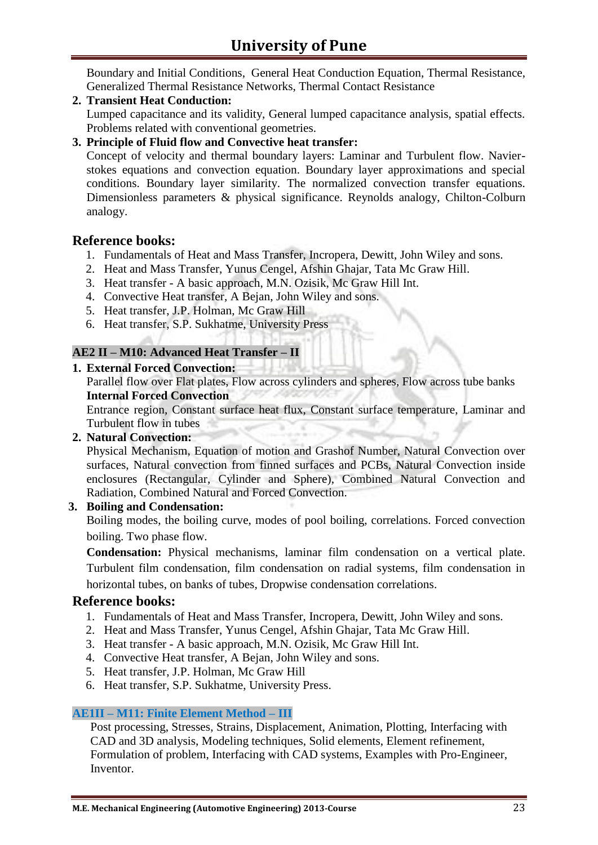Boundary and Initial Conditions, General Heat Conduction Equation, Thermal Resistance, Generalized Thermal Resistance Networks, Thermal Contact Resistance

**2. Transient Heat Conduction:**

Lumped capacitance and its validity, General lumped capacitance analysis, spatial effects. Problems related with conventional geometries.

**3. Principle of Fluid flow and Convective heat transfer:**

Concept of velocity and thermal boundary layers: Laminar and Turbulent flow. Navierstokes equations and convection equation. Boundary layer approximations and special conditions. Boundary layer similarity. The normalized convection transfer equations. Dimensionless parameters & physical significance. Reynolds analogy, Chilton-Colburn analogy.

#### **Reference books:**

- 1. Fundamentals of Heat and Mass Transfer, Incropera, Dewitt, John Wiley and sons.
- 2. Heat and Mass Transfer, Yunus Cengel, Afshin Ghajar, Tata Mc Graw Hill.
- 3. Heat transfer A basic approach, M.N. Ozisik, Mc Graw Hill Int.
- 4. Convective Heat transfer, A Bejan, John Wiley and sons.
- 5. Heat transfer, J.P. Holman, Mc Graw Hill
- 6. Heat transfer, S.P. Sukhatme, University Press

#### **AE2 II – M10: Advanced Heat Transfer – II**

#### **1. External Forced Convection:**

Parallel flow over Flat plates, Flow across cylinders and spheres, Flow across tube banks **Internal Forced Convection**

Entrance region, Constant surface heat flux, Constant surface temperature, Laminar and Turbulent flow in tubes

#### **2. Natural Convection:**

Physical Mechanism, Equation of motion and Grashof Number, Natural Convection over surfaces, Natural convection from finned surfaces and PCBs, Natural Convection inside enclosures (Rectangular, Cylinder and Sphere), Combined Natural Convection and Radiation, Combined Natural and Forced Convection.

#### **3. Boiling and Condensation:**

Boiling modes, the boiling curve, modes of pool boiling, correlations. Forced convection boiling. Two phase flow.

**Condensation:** Physical mechanisms, laminar film condensation on a vertical plate. Turbulent film condensation, film condensation on radial systems, film condensation in horizontal tubes, on banks of tubes, Dropwise condensation correlations.

#### **Reference books:**

- 1. Fundamentals of Heat and Mass Transfer, Incropera, Dewitt, John Wiley and sons.
- 2. Heat and Mass Transfer, Yunus Cengel, Afshin Ghajar, Tata Mc Graw Hill.
- 3. Heat transfer A basic approach, M.N. Ozisik, Mc Graw Hill Int.
- 4. Convective Heat transfer, A Bejan, John Wiley and sons.
- 5. Heat transfer, J.P. Holman, Mc Graw Hill
- 6. Heat transfer, S.P. Sukhatme, University Press.

#### **AE1II – M11: Finite Element Method – III**

Post processing, Stresses, Strains, Displacement, Animation, Plotting, Interfacing with CAD and 3D analysis, Modeling techniques, Solid elements, Element refinement, Formulation of problem, Interfacing with CAD systems, Examples with Pro-Engineer, Inventor.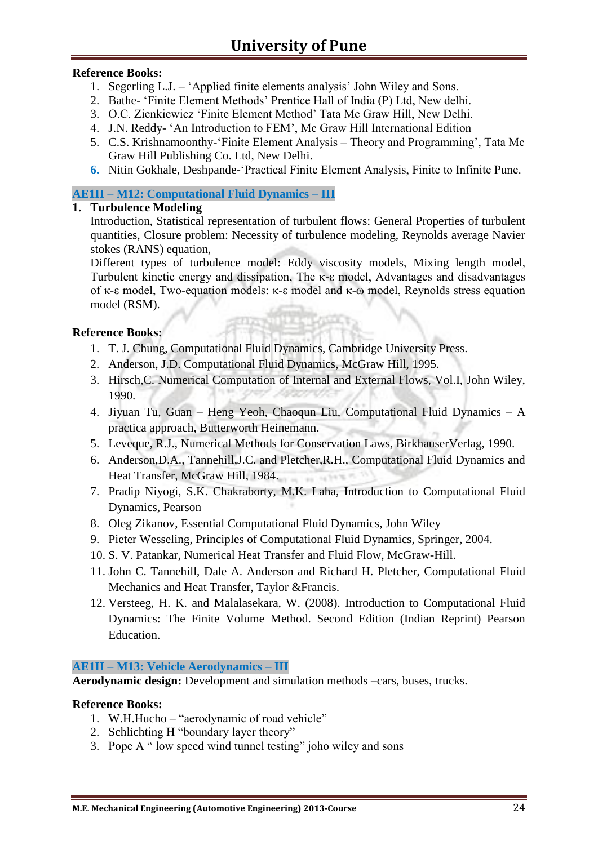#### **Reference Books:**

- 1. Segerling L.J. 'Applied finite elements analysis' John Wiley and Sons.
- 2. Bathe- 'Finite Element Methods' Prentice Hall of India (P) Ltd, New delhi.
- 3. O.C. Zienkiewicz 'Finite Element Method' Tata Mc Graw Hill, New Delhi.
- 4. J.N. Reddy- 'An Introduction to FEM', Mc Graw Hill International Edition
- 5. C.S. Krishnamoonthy-'Finite Element Analysis Theory and Programming', Tata Mc Graw Hill Publishing Co. Ltd, New Delhi.
- **6.** Nitin Gokhale, Deshpande-'Practical Finite Element Analysis, Finite to Infinite Pune.

#### **AE1II – M12: Computational Fluid Dynamics – III**

#### **1. Turbulence Modeling**

Introduction, Statistical representation of turbulent flows: General Properties of turbulent quantities, Closure problem: Necessity of turbulence modeling, Reynolds average Navier stokes (RANS) equation,

Different types of turbulence model: Eddy viscosity models, Mixing length model, Turbulent kinetic energy and dissipation, The κ-ε model, Advantages and disadvantages of κ-ε model, Two-equation models: κ-ε model and κ-ω model, Reynolds stress equation model (RSM).

#### **Reference Books:**

- 1. T. J. Chung, Computational Fluid Dynamics, Cambridge University Press.
- 2. Anderson, J.D. Computational Fluid Dynamics, McGraw Hill, 1995.
- 3. Hirsch,C. Numerical Computation of Internal and External Flows, Vol.I, John Wiley, 1990.
- 4. Jiyuan Tu, Guan Heng Yeoh, Chaoqun Liu, Computational Fluid Dynamics A practica approach, Butterworth Heinemann.
- 5. Leveque, R.J., Numerical Methods for Conservation Laws, BirkhauserVerlag, 1990.
- 6. Anderson,D.A., Tannehill,J.C. and Pletcher,R.H., Computational Fluid Dynamics and Heat Transfer, McGraw Hill, 1984. orders et 15
- 7. Pradip Niyogi, S.K. Chakraborty, M.K. Laha, Introduction to Computational Fluid Dynamics, Pearson
- 8. Oleg Zikanov, Essential Computational Fluid Dynamics, John Wiley
- 9. Pieter Wesseling, Principles of Computational Fluid Dynamics, Springer, 2004.
- 10. S. V. Patankar, Numerical Heat Transfer and Fluid Flow, McGraw-Hill.
- 11. John C. Tannehill, Dale A. Anderson and Richard H. Pletcher, Computational Fluid Mechanics and Heat Transfer, Taylor &Francis.
- 12. Versteeg, H. K. and Malalasekara, W. (2008). Introduction to Computational Fluid Dynamics: The Finite Volume Method. Second Edition (Indian Reprint) Pearson Education.

#### **AE1II – M13: Vehicle Aerodynamics – III**

**Aerodynamic design:** Development and simulation methods –cars, buses, trucks.

- 1. W.H.Hucho "aerodynamic of road vehicle"
- 2. Schlichting H "boundary layer theory"
- 3. Pope A " low speed wind tunnel testing" joho wiley and sons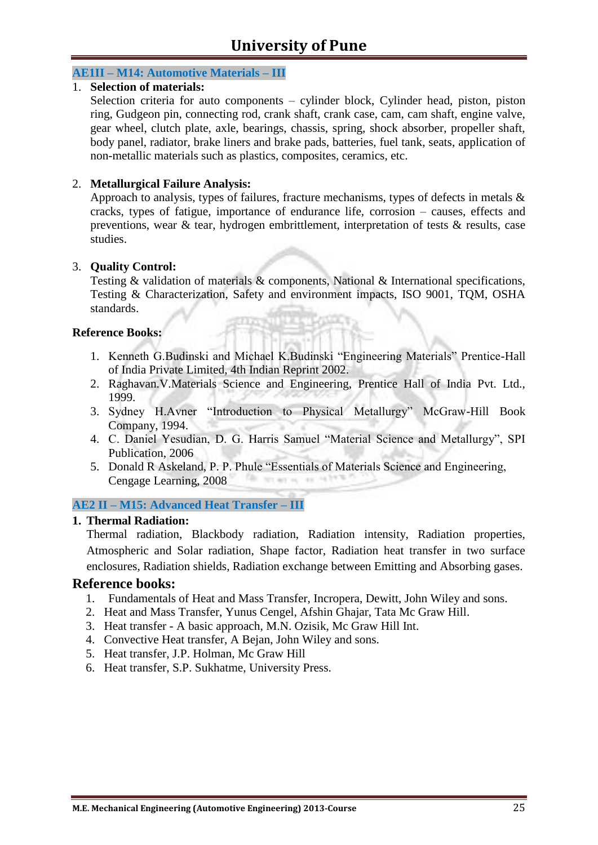#### **AE1II – M14: Automotive Materials – III**

#### 1. **Selection of materials:**

Selection criteria for auto components – cylinder block, Cylinder head, piston, piston ring, Gudgeon pin, connecting rod, crank shaft, crank case, cam, cam shaft, engine valve, gear wheel, clutch plate, axle, bearings, chassis, spring, shock absorber, propeller shaft, body panel, radiator, brake liners and brake pads, batteries, fuel tank, seats, application of non-metallic materials such as plastics, composites, ceramics, etc.

#### 2. **Metallurgical Failure Analysis:**

Approach to analysis, types of failures, fracture mechanisms, types of defects in metals & cracks, types of fatigue, importance of endurance life, corrosion – causes, effects and preventions, wear & tear, hydrogen embrittlement, interpretation of tests & results, case studies.

#### 3. **Quality Control:**

Testing & validation of materials & components, National & International specifications, Testing & Characterization, Safety and environment impacts, ISO 9001, TQM, OSHA standards.

#### **Reference Books:**

- 1. Kenneth G.Budinski and Michael K.Budinski "Engineering Materials" Prentice-Hall of India Private Limited, 4th Indian Reprint 2002.
- 2. Raghavan.V.Materials Science and Engineering, Prentice Hall of India Pvt. Ltd., 1999.
- 3. Sydney H.Avner "Introduction to Physical Metallurgy" McGraw-Hill Book Company, 1994.
- 4. C. Daniel Yesudian, D. G. Harris Samuel "Material Science and Metallurgy", SPI Publication, 2006
- 5. Donald R Askeland, P. P. Phule "Essentials of Materials Science and Engineering, Cengage Learning, 2008 This way on 1 was 100

#### **AE2 II – M15: Advanced Heat Transfer – III**

#### **1. Thermal Radiation:**

Thermal radiation, Blackbody radiation, Radiation intensity, Radiation properties, Atmospheric and Solar radiation, Shape factor, Radiation heat transfer in two surface enclosures, Radiation shields, Radiation exchange between Emitting and Absorbing gases.

- 1. Fundamentals of Heat and Mass Transfer, Incropera, Dewitt, John Wiley and sons.
- 2. Heat and Mass Transfer, Yunus Cengel, Afshin Ghajar, Tata Mc Graw Hill.
- 3. Heat transfer A basic approach, M.N. Ozisik, Mc Graw Hill Int.
- 4. Convective Heat transfer, A Bejan, John Wiley and sons.
- 5. Heat transfer, J.P. Holman, Mc Graw Hill
- 6. Heat transfer, S.P. Sukhatme, University Press.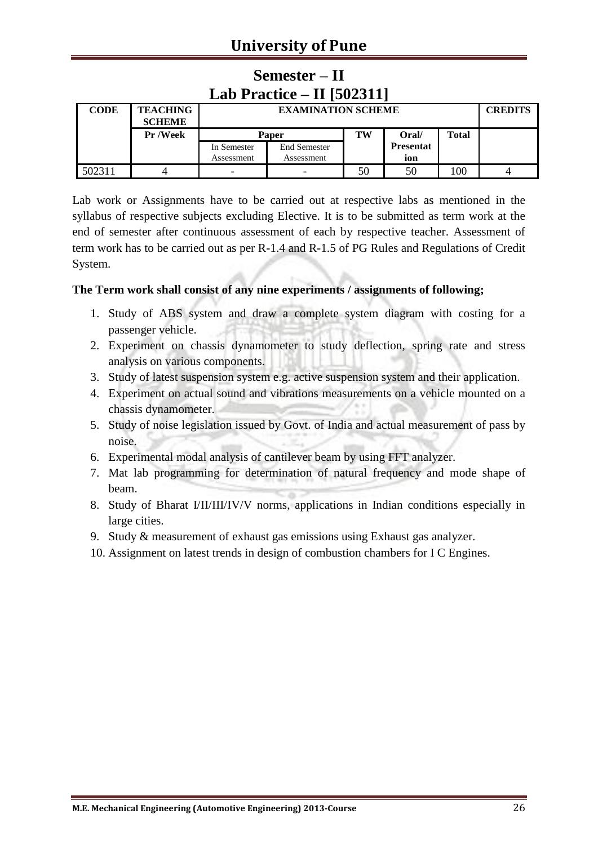| Lab Practice $-$ II [502311] |                                  |             |                           |    |                  |       |  |  |  |
|------------------------------|----------------------------------|-------------|---------------------------|----|------------------|-------|--|--|--|
| <b>CODE</b>                  | <b>TEACHING</b><br><b>SCHEME</b> |             | <b>EXAMINATION SCHEME</b> |    |                  |       |  |  |  |
|                              | <b>Pr</b> /Week                  | Paper       |                           | TW | Oral/            | Total |  |  |  |
|                              |                                  | In Semester | <b>End Semester</b>       |    | <b>Presentat</b> |       |  |  |  |
|                              |                                  | Assessment  | Assessment                |    | ion              |       |  |  |  |
| 502311                       |                                  | -           |                           | 50 | 50               | 100   |  |  |  |

# **Semester – II**

Lab work or Assignments have to be carried out at respective labs as mentioned in the syllabus of respective subjects excluding Elective. It is to be submitted as term work at the end of semester after continuous assessment of each by respective teacher. Assessment of term work has to be carried out as per R-1.4 and R-1.5 of PG Rules and Regulations of Credit System.

#### **The Term work shall consist of any nine experiments / assignments of following;**

- 1. Study of ABS system and draw a complete system diagram with costing for a passenger vehicle.
- 2. Experiment on chassis dynamometer to study deflection, spring rate and stress analysis on various components.
- 3. Study of latest suspension system e.g. active suspension system and their application.
- 4. Experiment on actual sound and vibrations measurements on a vehicle mounted on a chassis dynamometer.
- 5. Study of noise legislation issued by Govt. of India and actual measurement of pass by noise.
- 6. Experimental modal analysis of cantilever beam by using FFT analyzer.
- 7. Mat lab programming for determination of natural frequency and mode shape of beam.
- 8. Study of Bharat I/II/III/IV/V norms, applications in Indian conditions especially in large cities.
- 9. Study & measurement of exhaust gas emissions using Exhaust gas analyzer.
- 10. Assignment on latest trends in design of combustion chambers for I C Engines.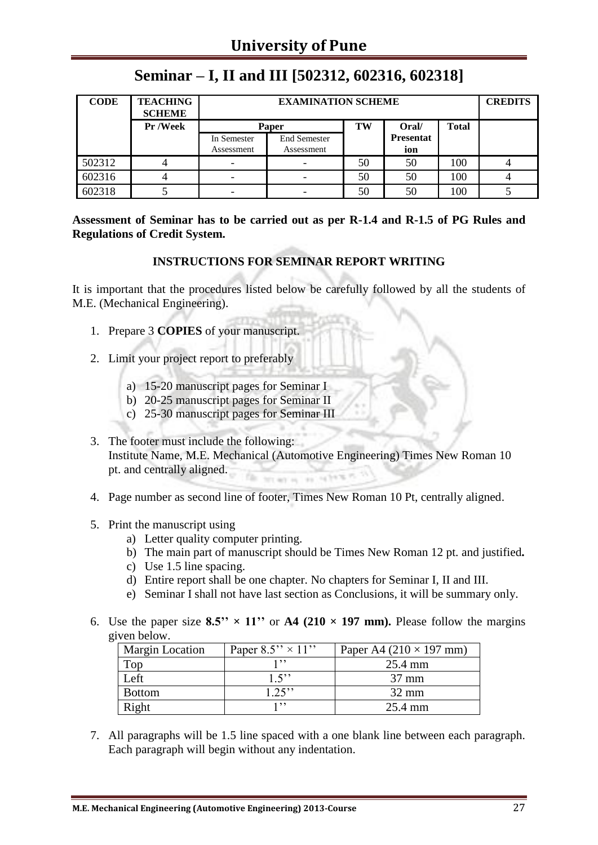| <b>CODE</b> | <b>TEACHING</b><br><b>SCHEME</b> |                           | <b>CREDITS</b>                    |    |                         |              |  |
|-------------|----------------------------------|---------------------------|-----------------------------------|----|-------------------------|--------------|--|
|             | Pr /Week                         |                           | Paper                             | TW | Oral/                   | <b>Total</b> |  |
|             |                                  | In Semester<br>Assessment | <b>End Semester</b><br>Assessment |    | <b>Presentat</b><br>ion |              |  |
| 502312      |                                  | -                         |                                   | 50 | 50                      | 100          |  |
| 602316      |                                  | $\overline{\phantom{0}}$  |                                   | 50 | 50                      | 100          |  |
| 602318      |                                  | -                         |                                   | 50 | 50                      | 100          |  |

# **Seminar – I, II and III [502312, 602316, 602318]**

**Assessment of Seminar has to be carried out as per R-1.4 and R-1.5 of PG Rules and Regulations of Credit System.**

#### **INSTRUCTIONS FOR SEMINAR REPORT WRITING**

It is important that the procedures listed below be carefully followed by all the students of M.E. (Mechanical Engineering).

- 1. Prepare 3 **COPIES** of your manuscript.
- 2. Limit your project report to preferably
	- a) 15-20 manuscript pages for Seminar I
	- b) 20-25 manuscript pages for Seminar II
	- c) 25-30 manuscript pages for Seminar III
- 3. The footer must include the following: Institute Name, M.E. Mechanical (Automotive Engineering) Times New Roman 10 pt. and centrally aligned.
- 4. Page number as second line of footer, Times New Roman 10 Pt, centrally aligned.
- 5. Print the manuscript using
	- a) Letter quality computer printing.
	- b) The main part of manuscript should be Times New Roman 12 pt. and justified**.**
	- c) Use 1.5 line spacing.
	- d) Entire report shall be one chapter. No chapters for Seminar I, II and III.
	- e) Seminar I shall not have last section as Conclusions, it will be summary only.
- 6. Use the paper size  $8.5'' \times 11''$  or  $A4$  (210  $\times$  197 mm). Please follow the margins given below.

| <b>Margin Location</b> | Paper $8.5'' \times 11''$ | Paper A4 $(210 \times 197$ mm) |
|------------------------|---------------------------|--------------------------------|
| Top                    | 1, 9, 9                   | 25.4 mm                        |
| Left                   | 1.5                       | $37 \text{ mm}$                |
| <b>Bottom</b>          | $1.25$ "                  | $32 \text{ mm}$                |
| Right                  | 1, 9, 9                   | 25.4 mm                        |

7. All paragraphs will be 1.5 line spaced with a one blank line between each paragraph. Each paragraph will begin without any indentation.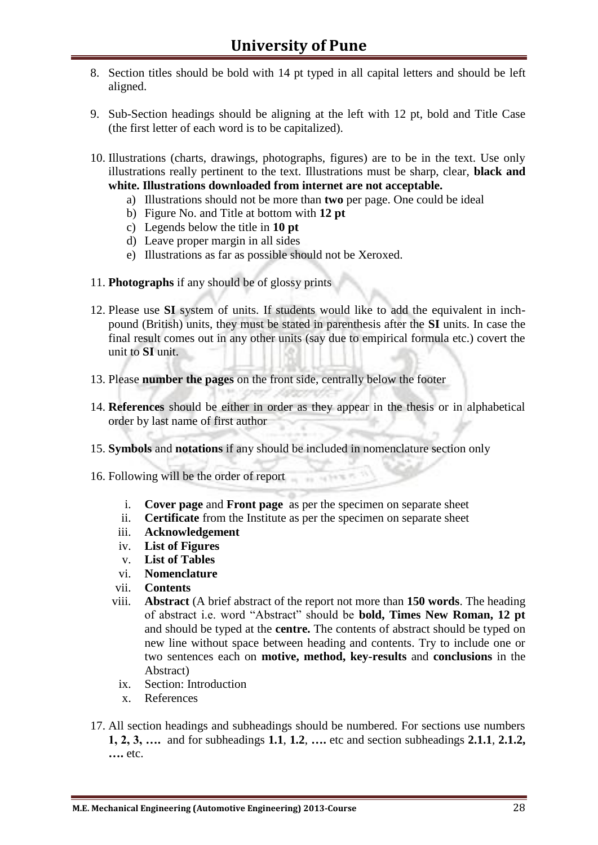- 8. Section titles should be bold with 14 pt typed in all capital letters and should be left aligned.
- 9. Sub-Section headings should be aligning at the left with 12 pt, bold and Title Case (the first letter of each word is to be capitalized).
- 10. Illustrations (charts, drawings, photographs, figures) are to be in the text. Use only illustrations really pertinent to the text. Illustrations must be sharp, clear, **black and white. Illustrations downloaded from internet are not acceptable.** 
	- a) Illustrations should not be more than **two** per page. One could be ideal
	- b) Figure No. and Title at bottom with **12 pt**
	- c) Legends below the title in **10 pt**
	- d) Leave proper margin in all sides
	- e) Illustrations as far as possible should not be Xeroxed.
- 11. **Photographs** if any should be of glossy prints
- 12. Please use **SI** system of units. If students would like to add the equivalent in inchpound (British) units, they must be stated in parenthesis after the **SI** units. In case the final result comes out in any other units (say due to empirical formula etc.) covert the unit to **SI** unit.
- 13. Please **number the pages** on the front side, centrally below the footer
- 14. **References** should be either in order as they appear in the thesis or in alphabetical order by last name of first author
- 15. **Symbols** and **notations** if any should be included in nomenclature section only
- 16. Following will be the order of report
	- i. **Cover page** and **Front page** as per the specimen on separate sheet
	- ii. **Certificate** from the Institute as per the specimen on separate sheet
	- iii. **Acknowledgement**
	- iv. **List of Figures**
	- v. **List of Tables**
	- vi. **Nomenclature**
	- vii. **Contents**
	- viii. **Abstract** (A brief abstract of the report not more than **150 words**. The heading of abstract i.e. word "Abstract" should be **bold, Times New Roman, 12 pt** and should be typed at the **centre.** The contents of abstract should be typed on new line without space between heading and contents. Try to include one or two sentences each on **motive, method, key-results** and **conclusions** in the Abstract)
		- ix. Section: Introduction
		- x. References
- 17. All section headings and subheadings should be numbered. For sections use numbers **1, 2, 3, ….** and for subheadings **1.1**, **1.2**, **….** etc and section subheadings **2.1.1**, **2.1.2, ….** etc.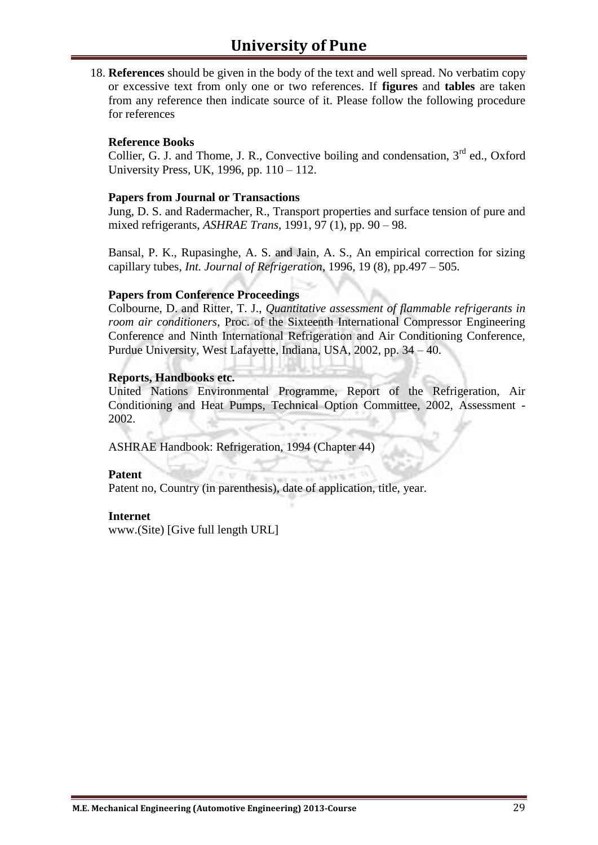18. **References** should be given in the body of the text and well spread. No verbatim copy or excessive text from only one or two references. If **figures** and **tables** are taken from any reference then indicate source of it. Please follow the following procedure for references

#### **Reference Books**

Collier, G. J. and Thome, J. R., Convective boiling and condensation.  $3^{rd}$  ed., Oxford University Press, UK, 1996, pp. 110 – 112.

#### **Papers from Journal or Transactions**

Jung, D. S. and Radermacher, R., Transport properties and surface tension of pure and mixed refrigerants, *ASHRAE Trans*, 1991, 97 (1), pp. 90 – 98.

Bansal, P. K., Rupasinghe, A. S. and Jain, A. S., An empirical correction for sizing capillary tubes, *Int. Journal of Refrigeration*, 1996, 19 (8), pp.497 – 505.

#### **Papers from Conference Proceedings**

Colbourne, D. and Ritter, T. J., *Quantitative assessment of flammable refrigerants in room air conditioners*, Proc. of the Sixteenth International Compressor Engineering Conference and Ninth International Refrigeration and Air Conditioning Conference, Purdue University, West Lafayette, Indiana, USA, 2002, pp. 34 – 40.

#### **Reports, Handbooks etc.**

United Nations Environmental Programme, Report of the Refrigeration, Air Conditioning and Heat Pumps, Technical Option Committee, 2002, Assessment - 2002.

ASHRAE Handbook: Refrigeration, 1994 (Chapter 44)

#### **Patent**

Patent no, Country (in parenthesis), date of application, title, year.

#### **Internet**

www.(Site) [Give full length URL]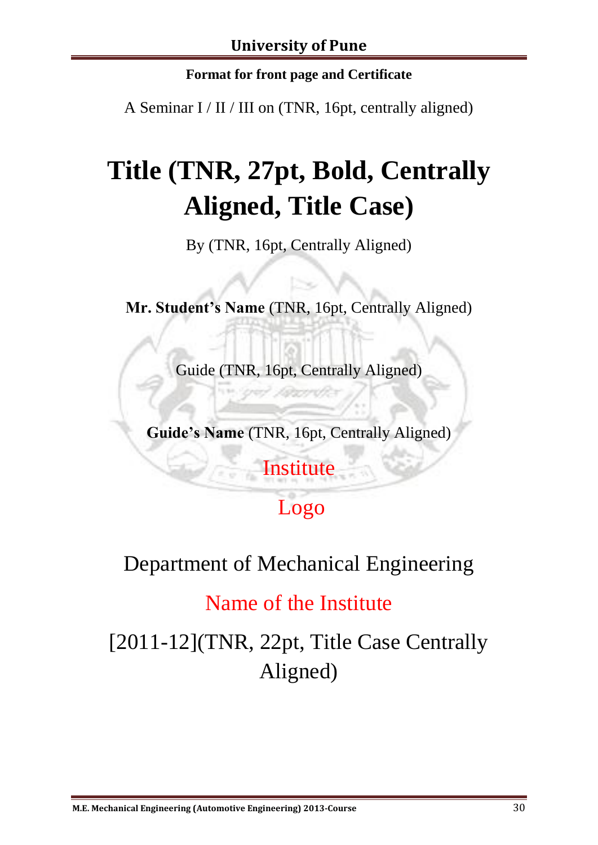### **Format for front page and Certificate**

A Seminar I / II / III on (TNR, 16pt, centrally aligned)

# **Title (TNR, 27pt, Bold, Centrally Aligned, Title Case)**

By (TNR, 16pt, Centrally Aligned)

**Mr. Student's Name** (TNR, 16pt, Centrally Aligned)

Guide (TNR, 16pt, Centrally Aligned)

**Guide's Name** (TNR, 16pt, Centrally Aligned)

# **Institute**

# Logo

# Department of Mechanical Engineering

# Name of the Institute

[2011-12](TNR, 22pt, Title Case Centrally Aligned)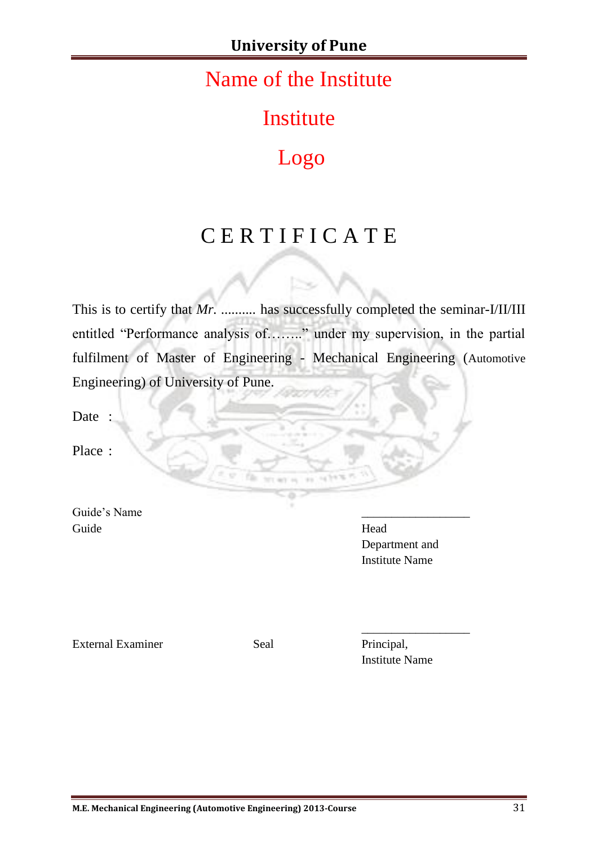# Name of the Institute

Institute

# Logo

# C E R T I F I C A T E

This is to certify that *Mr.* .......... has successfully completed the seminar-I/II/III entitled "Performance analysis of…….." under my supervision, in the partial fulfilment of Master of Engineering - Mechanical Engineering (Automotive Engineering) of University of Pune.

 $\sim$ 

serv.

Date :

Place :

Guide's Name Guide Head

Department and Institute Name

External Examiner Seal Principal,

Institute Name

\_\_\_\_\_\_\_\_\_\_\_\_\_\_\_\_\_\_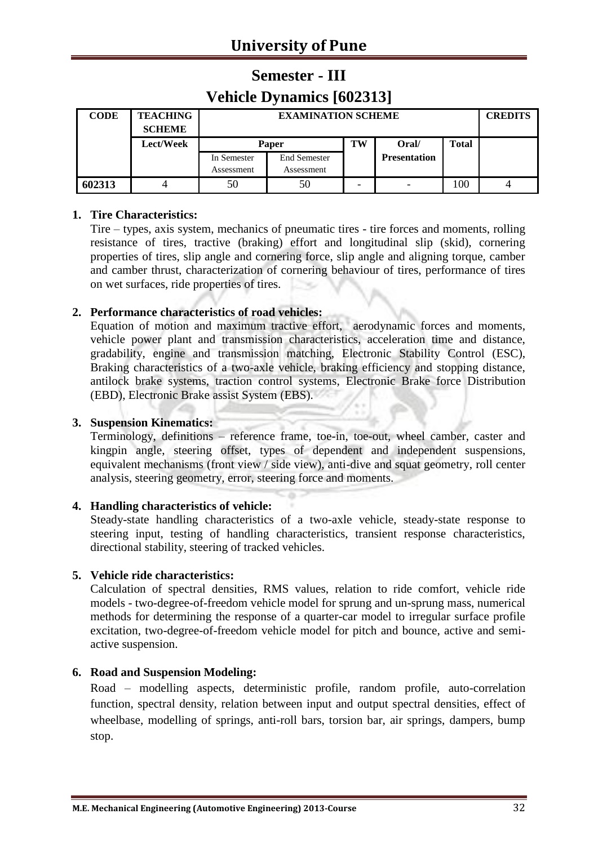# **Semester - III Vehicle Dynamics [602313]**

| <b>CODE</b> | <b>TEACHING</b><br><b>SCHEME</b> |                           | <b>EXAMINATION SCHEME</b>         |    |                     |              |  |  |
|-------------|----------------------------------|---------------------------|-----------------------------------|----|---------------------|--------------|--|--|
|             | <b>Lect/Week</b>                 | Paper                     |                                   | TW | Oral/               | <b>Total</b> |  |  |
|             |                                  | In Semester<br>Assessment | <b>End Semester</b><br>Assessment |    | <b>Presentation</b> |              |  |  |
| 602313      |                                  | 50                        | 50                                |    |                     | 100          |  |  |

#### **1. Tire Characteristics:**

Tire – types, axis system, mechanics of pneumatic tires - tire forces and moments, rolling resistance of tires, tractive (braking) effort and longitudinal slip (skid), cornering properties of tires, slip angle and cornering force, slip angle and aligning torque, camber and camber thrust, characterization of cornering behaviour of tires, performance of tires on wet surfaces, ride properties of tires.

#### **2. Performance characteristics of road vehicles:**

Equation of motion and maximum tractive effort, aerodynamic forces and moments, vehicle power plant and transmission characteristics, acceleration time and distance, gradability, engine and transmission matching, Electronic Stability Control (ESC), Braking characteristics of a two-axle vehicle, braking efficiency and stopping distance, antilock brake systems, traction control systems, Electronic Brake force Distribution (EBD), Electronic Brake assist System (EBS).

#### **3. Suspension Kinematics:**

Terminology, definitions – reference frame, toe-in, toe-out, wheel camber, caster and kingpin angle, steering offset, types of dependent and independent suspensions, equivalent mechanisms (front view / side view), anti-dive and squat geometry, roll center analysis, steering geometry, error, steering force and moments.

#### **4. Handling characteristics of vehicle:**

Steady-state handling characteristics of a two-axle vehicle, steady-state response to steering input, testing of handling characteristics, transient response characteristics, directional stability, steering of tracked vehicles.

#### **5. Vehicle ride characteristics:**

Calculation of spectral densities, RMS values, relation to ride comfort, vehicle ride models - two-degree-of-freedom vehicle model for sprung and un-sprung mass, numerical methods for determining the response of a quarter-car model to irregular surface profile excitation, two-degree-of-freedom vehicle model for pitch and bounce, active and semiactive suspension.

#### **6. Road and Suspension Modeling:**

Road – modelling aspects, deterministic profile, random profile, auto-correlation function, spectral density, relation between input and output spectral densities, effect of wheelbase, modelling of springs, anti-roll bars, torsion bar, air springs, dampers, bump stop.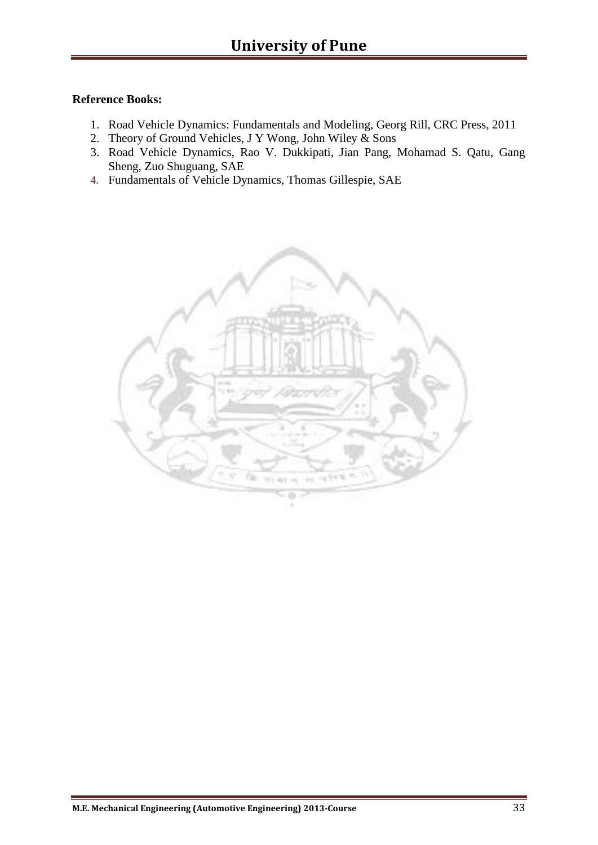- 1. Road Vehicle Dynamics: Fundamentals and Modeling, Georg Rill, CRC Press, 2011
- 2. Theory of Ground Vehicles, J Y Wong, John Wiley & Sons
- 3. Road Vehicle Dynamics, Rao V. Dukkipati, Jian Pang, Mohamad S. Qatu, Gang Sheng, Zuo Shuguang, SAE
- 4. Fundamentals of Vehicle Dynamics, Thomas Gillespie, SAE

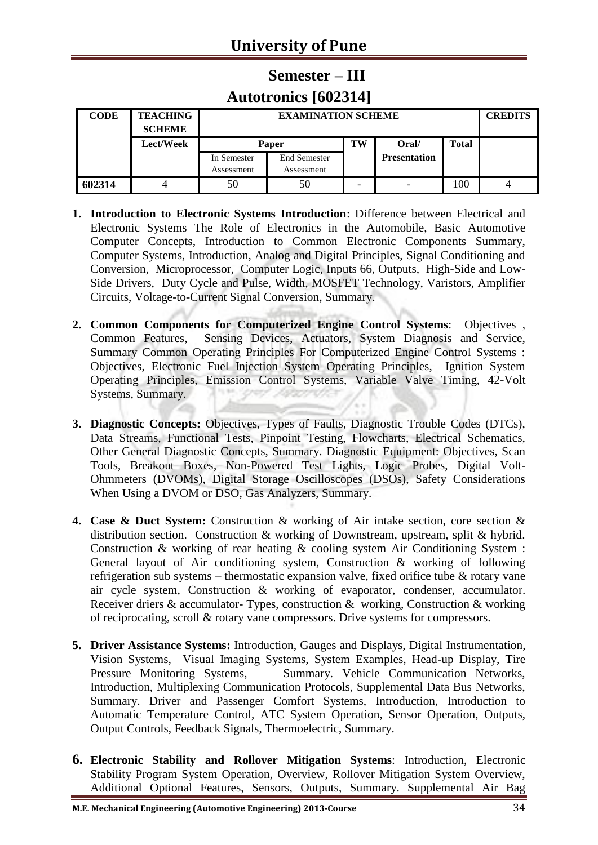# **Semester – III Autotronics [602314]**

| <b>CODE</b> | <b>TEACHING</b><br><b>SCHEME</b> |                           | <b>CREDITS</b>                    |    |                          |              |  |
|-------------|----------------------------------|---------------------------|-----------------------------------|----|--------------------------|--------------|--|
|             | Lect/Week                        | Paper                     |                                   | TW | Oral/                    | <b>Total</b> |  |
|             |                                  | In Semester<br>Assessment | <b>End Semester</b><br>Assessment |    | <b>Presentation</b>      |              |  |
| 602314      |                                  | 50                        | 50                                |    | $\overline{\phantom{0}}$ | 100          |  |

- **1. Introduction to Electronic Systems Introduction**: Difference between Electrical and Electronic Systems The Role of Electronics in the Automobile, Basic Automotive Computer Concepts, Introduction to Common Electronic Components Summary, Computer Systems, Introduction, Analog and Digital Principles, Signal Conditioning and Conversion, Microprocessor, Computer Logic, Inputs 66, Outputs, High-Side and Low-Side Drivers, Duty Cycle and Pulse, Width, MOSFET Technology, Varistors, Amplifier Circuits, Voltage-to-Current Signal Conversion, Summary.
- **2. Common Components for Computerized Engine Control Systems**: Objectives , Common Features, Sensing Devices, Actuators, System Diagnosis and Service, Summary Common Operating Principles For Computerized Engine Control Systems : Objectives, Electronic Fuel Injection System Operating Principles, Ignition System Operating Principles, Emission Control Systems, Variable Valve Timing, 42-Volt Systems, Summary.
- **3. Diagnostic Concepts:** Objectives, Types of Faults, Diagnostic Trouble Codes (DTCs), Data Streams, Functional Tests, Pinpoint Testing, Flowcharts, Electrical Schematics, Other General Diagnostic Concepts, Summary. Diagnostic Equipment: Objectives, Scan Tools, Breakout Boxes, Non-Powered Test Lights, Logic Probes, Digital Volt-Ohmmeters (DVOMs), Digital Storage Oscilloscopes (DSOs), Safety Considerations When Using a DVOM or DSO, Gas Analyzers, Summary.
- **4. Case & Duct System:** Construction & working of Air intake section, core section & distribution section. Construction & working of Downstream, upstream, split & hybrid. Construction & working of rear heating & cooling system Air Conditioning System : General layout of Air conditioning system, Construction & working of following refrigeration sub systems – thermostatic expansion valve, fixed orifice tube  $\&$  rotary vane air cycle system, Construction & working of evaporator, condenser, accumulator. Receiver driers & accumulator- Types, construction & working, Construction & working of reciprocating, scroll & rotary vane compressors. Drive systems for compressors.
- **5. Driver Assistance Systems:** Introduction, Gauges and Displays, Digital Instrumentation, Vision Systems, Visual Imaging Systems, System Examples, Head-up Display, Tire Pressure Monitoring Systems, Summary. Vehicle Communication Networks, Introduction, Multiplexing Communication Protocols, Supplemental Data Bus Networks, Summary. Driver and Passenger Comfort Systems, Introduction, Introduction to Automatic Temperature Control, ATC System Operation, Sensor Operation, Outputs, Output Controls, Feedback Signals, Thermoelectric, Summary.
- **6. Electronic Stability and Rollover Mitigation Systems**: Introduction, Electronic Stability Program System Operation, Overview, Rollover Mitigation System Overview, Additional Optional Features, Sensors, Outputs, Summary. Supplemental Air Bag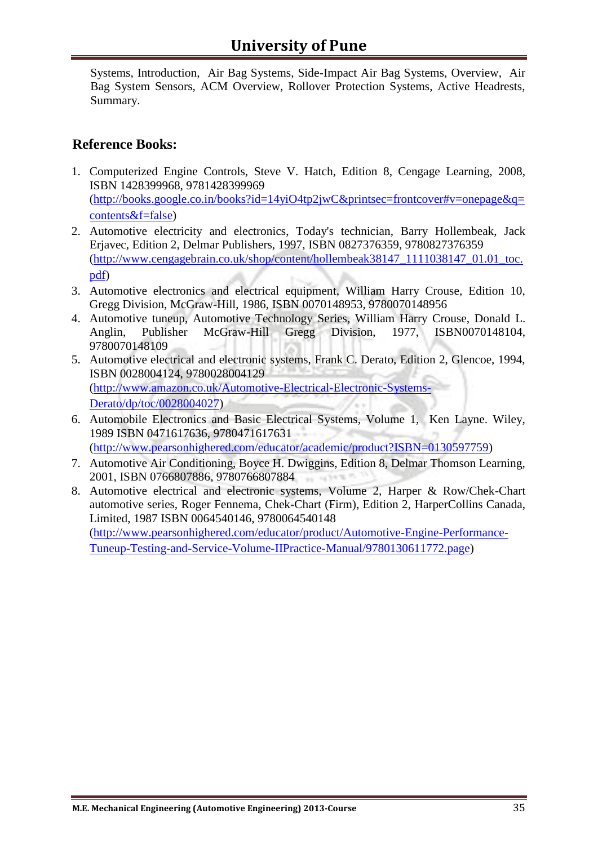Systems, Introduction, Air Bag Systems, Side-Impact Air Bag Systems, Overview, Air Bag System Sensors, ACM Overview, Rollover Protection Systems, Active Headrests, Summary.

- 1. Computerized Engine Controls, Steve V. Hatch, Edition 8, Cengage Learning, 2008, ISBN 1428399968, 9781428399969 [\(http://books.google.co.in/books?id=14yiO4tp2jwC&printsec=frontcover#v=onepage&q=](http://books.google.co.in/books?id=14yiO4tp2jwC&printsec=frontcover#v=onepage&q=contents&f=false) [contents&f=false\)](http://books.google.co.in/books?id=14yiO4tp2jwC&printsec=frontcover#v=onepage&q=contents&f=false)
- 2. Automotive electricity and electronics, Today's technician, Barry Hollembeak, Jack Erjavec, Edition 2, Delmar Publishers, 1997, ISBN 0827376359, 9780827376359 [\(http://www.cengagebrain.co.uk/shop/content/hollembeak38147\\_1111038147\\_01.01\\_toc.](http://www.cengagebrain.co.uk/shop/content/hollembeak38147_1111038147_01.01_toc.pdf) [pdf\)](http://www.cengagebrain.co.uk/shop/content/hollembeak38147_1111038147_01.01_toc.pdf)
- 3. Automotive electronics and electrical equipment, William Harry Crouse, Edition 10, Gregg Division, McGraw-Hill, 1986, ISBN 0070148953, 9780070148956
- 4. Automotive tuneup, Automotive Technology Series, William Harry Crouse, Donald L. Anglin, Publisher McGraw-Hill Gregg Division, 1977, ISBN0070148104, 9780070148109
- 5. Automotive electrical and electronic systems, Frank C. Derato, Edition 2, Glencoe, 1994, ISBN 0028004124, 9780028004129 [\(http://www.amazon.co.uk/Automotive-Electrical-Electronic-Systems-](http://www.amazon.co.uk/Automotive-Electrical-Electronic-Systems-Derato/dp/toc/0028004027)[Derato/dp/toc/0028004027\)](http://www.amazon.co.uk/Automotive-Electrical-Electronic-Systems-Derato/dp/toc/0028004027)
- 6. Automobile Electronics and Basic Electrical Systems, Volume 1, Ken Layne. Wiley, 1989 ISBN 0471617636, 9780471617631 [\(http://www.pearsonhighered.com/educator/academic/product?ISBN=0130597759\)](http://www.pearsonhighered.com/educator/academic/product?ISBN=0130597759)
- 7. Automotive Air Conditioning, Boyce H. Dwiggins, Edition 8, Delmar Thomson Learning, 2001, ISBN 0766807886, 9780766807884
- 8. Automotive electrical and electronic systems, Volume 2, Harper & Row/Chek-Chart automotive series, Roger Fennema, Chek-Chart (Firm), Edition 2, HarperCollins Canada, Limited, 1987 ISBN 0064540146, 9780064540148 [\(http://www.pearsonhighered.com/educator/product/Automotive-Engine-Performance-](http://www.pearsonhighered.com/educator/product/Automotive-Engine-Performance-Tuneup-Testing-and-Service-Volume-IIPractice-Manual/9780130611772.page)[Tuneup-Testing-and-Service-Volume-IIPractice-Manual/9780130611772.page\)](http://www.pearsonhighered.com/educator/product/Automotive-Engine-Performance-Tuneup-Testing-and-Service-Volume-IIPractice-Manual/9780130611772.page)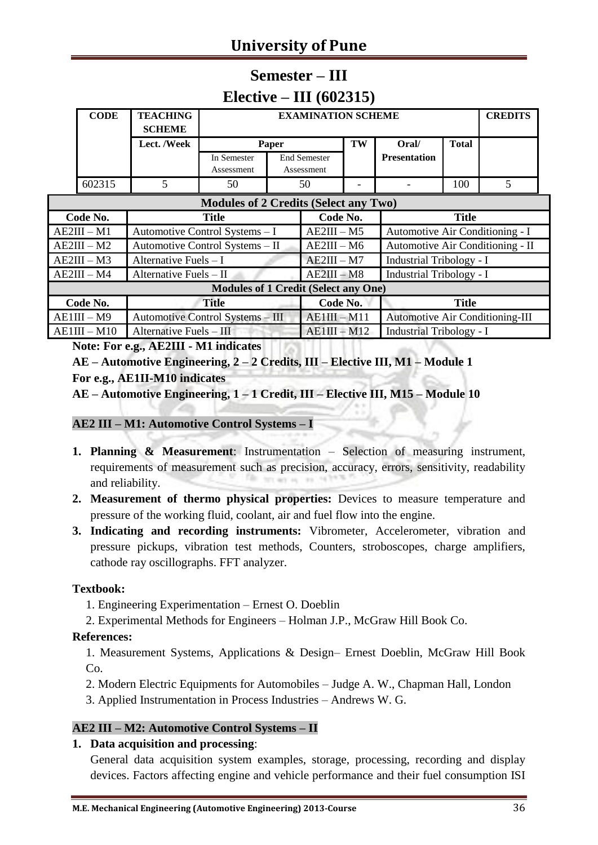# **University of Pune**

### **Semester – III Elective – III (602315)**

| <b>CODE</b>   | <b>TEACHING</b><br><b>SCHEME</b> |                                              | <b>EXAMINATION SCHEME</b> |                                   |    |                                  |              | <b>CREDITS</b> |
|---------------|----------------------------------|----------------------------------------------|---------------------------|-----------------------------------|----|----------------------------------|--------------|----------------|
|               | Lect. /Week                      | Paper                                        |                           |                                   | TW | Oral/                            | <b>Total</b> |                |
|               |                                  | In Semester<br>Assessment                    |                           | <b>End Semester</b><br>Assessment |    | <b>Presentation</b>              |              |                |
| 602315        | 5                                | 50                                           |                           | 50                                |    |                                  | 100          |                |
|               |                                  | <b>Modules of 2 Credits (Select any Two)</b> |                           |                                   |    |                                  |              |                |
| Code No.      |                                  | Title                                        |                           | Code No.                          |    |                                  | <b>Title</b> |                |
| AE2III – M1   |                                  | Automotive Control Systems - I               |                           | $AE2III - M5$                     |    | Automotive Air Conditioning - I  |              |                |
| $AE2III - M2$ |                                  | Automotive Control Systems - II              |                           | $AE2III - M6$                     |    | Automotive Air Conditioning - II |              |                |

| $AE2III - M3$                               | Alternative Fuels $-I$           | $AE2III - M7$  | Industrial Tribology - I               |  |  |  |  |
|---------------------------------------------|----------------------------------|----------------|----------------------------------------|--|--|--|--|
| $AE2III - M4$                               | Alternative Fuels $-$ II         | $AE2III - M8$  | Industrial Tribology - I               |  |  |  |  |
| <b>Modules of 1 Credit (Select any One)</b> |                                  |                |                                        |  |  |  |  |
| Code No.                                    | <b>Title</b>                     | Code No.       | Title                                  |  |  |  |  |
| $AE1III - M9$                               | Automotive Control Systems - III | $AE1III - M11$ | <b>Automotive Air Conditioning-III</b> |  |  |  |  |
| $AE1III - M10$                              | Alternative Fuels - III          | $AE1III - M12$ | <b>Industrial Tribology - I</b>        |  |  |  |  |

**Note: For e.g., AE2III - M1 indicates**

**AE – Automotive Engineering, 2 – 2 Credits, III – Elective III, M1 – Module 1 For e.g., AE1II-M10 indicates**

**AE – Automotive Engineering, 1 – 1 Credit, III – Elective III, M15 – Module 10**

#### **AE2 III – M1: Automotive Control Systems – I**

- **1. Planning & Measurement**: Instrumentation Selection of measuring instrument, requirements of measurement such as precision, accuracy, errors, sensitivity, readability and reliability.
- **2. Measurement of thermo physical properties:** Devices to measure temperature and pressure of the working fluid, coolant, air and fuel flow into the engine.
- **3. Indicating and recording instruments:** Vibrometer, Accelerometer, vibration and pressure pickups, vibration test methods, Counters, stroboscopes, charge amplifiers, cathode ray oscillographs. FFT analyzer.

#### **Textbook:**

- 1. Engineering Experimentation Ernest O. Doeblin
- 2. Experimental Methods for Engineers Holman J.P., McGraw Hill Book Co.

#### **References:**

1. Measurement Systems, Applications & Design– Ernest Doeblin, McGraw Hill Book  $Co.$ 

2. Modern Electric Equipments for Automobiles – Judge A. W., Chapman Hall, London

3. Applied Instrumentation in Process Industries – Andrews W. G.

#### **AE2 III – M2: Automotive Control Systems – II**

#### **1. Data acquisition and processing**:

General data acquisition system examples, storage, processing, recording and display devices. Factors affecting engine and vehicle performance and their fuel consumption ISI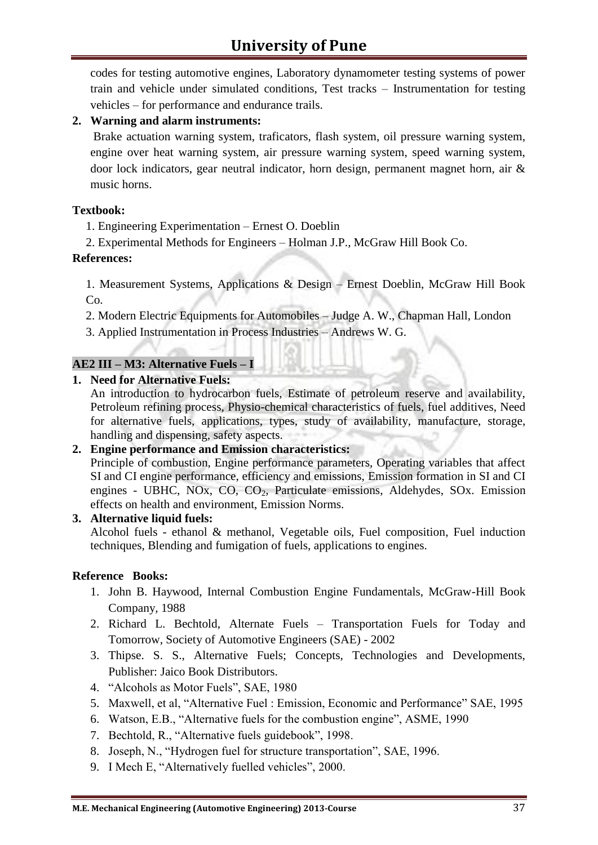codes for testing automotive engines, Laboratory dynamometer testing systems of power train and vehicle under simulated conditions, Test tracks – Instrumentation for testing vehicles – for performance and endurance trails.

#### **2. Warning and alarm instruments:**

Brake actuation warning system, traficators, flash system, oil pressure warning system, engine over heat warning system, air pressure warning system, speed warning system, door lock indicators, gear neutral indicator, horn design, permanent magnet horn, air & music horns.

#### **Textbook:**

1. Engineering Experimentation – Ernest O. Doeblin

2. Experimental Methods for Engineers – Holman J.P., McGraw Hill Book Co.

#### **References:**

1. Measurement Systems, Applications & Design – Ernest Doeblin, McGraw Hill Book Co.

2. Modern Electric Equipments for Automobiles – Judge A. W., Chapman Hall, London

3. Applied Instrumentation in Process Industries – Andrews W. G.

#### **AE2 III – M3: Alternative Fuels – I**

#### **1. Need for Alternative Fuels:**

An introduction to hydrocarbon fuels, Estimate of petroleum reserve and availability, Petroleum refining process, Physio-chemical characteristics of fuels, fuel additives, Need for alternative fuels, applications, types, study of availability, manufacture, storage, handling and dispensing, safety aspects.

#### **2. Engine performance and Emission characteristics:**

Principle of combustion, Engine performance parameters, Operating variables that affect SI and CI engine performance, efficiency and emissions, Emission formation in SI and CI engines - UBHC, NOx, CO, CO<sub>2</sub>, Particulate emissions, Aldehydes, SOx. Emission effects on health and environment, Emission Norms.

#### **3. Alternative liquid fuels:**

Alcohol fuels - ethanol & methanol, Vegetable oils, Fuel composition, Fuel induction techniques, Blending and fumigation of fuels, applications to engines.

- 1. John B. Haywood, Internal Combustion Engine Fundamentals, McGraw-Hill Book Company, 1988
- 2. Richard L. Bechtold, Alternate Fuels Transportation Fuels for Today and Tomorrow, Society of Automotive Engineers (SAE) - 2002
- 3. Thipse. S. S., Alternative Fuels; Concepts, Technologies and Developments, Publisher: Jaico Book Distributors.
- 4. "Alcohols as Motor Fuels", SAE, 1980
- 5. Maxwell, et al, "Alternative Fuel : Emission, Economic and Performance" SAE, 1995
- 6. Watson, E.B., "Alternative fuels for the combustion engine", ASME, 1990
- 7. Bechtold, R., "Alternative fuels guidebook", 1998.
- 8. Joseph, N., "Hydrogen fuel for structure transportation", SAE, 1996.
- 9. I Mech E, "Alternatively fuelled vehicles", 2000.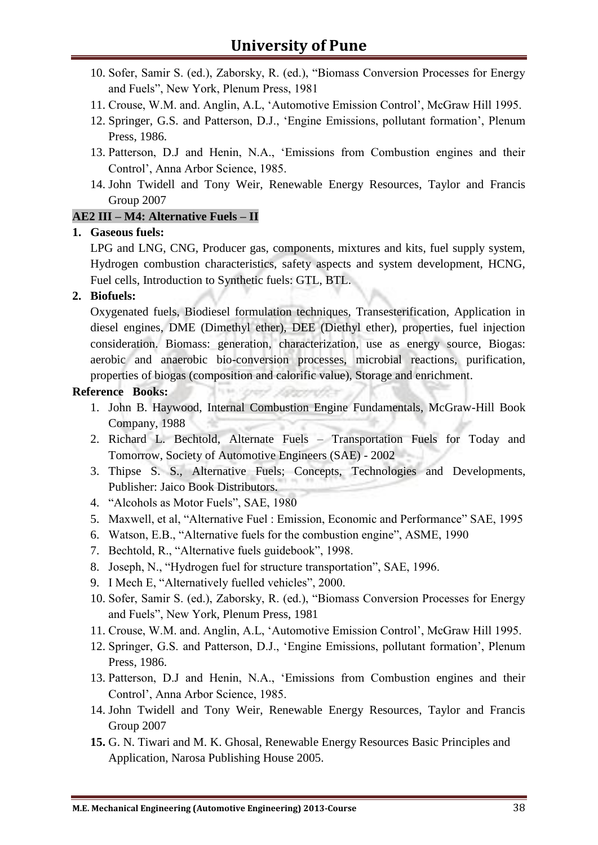- 10. Sofer, Samir S. (ed.), Zaborsky, R. (ed.), "Biomass Conversion Processes for Energy and Fuels", New York, Plenum Press, 1981
- 11. Crouse, W.M. and. Anglin, A.L, 'Automotive Emission Control', McGraw Hill 1995.
- 12. Springer, G.S. and Patterson, D.J., 'Engine Emissions, pollutant formation', Plenum Press, 1986.
- 13. Patterson, D.J and Henin, N.A., 'Emissions from Combustion engines and their Control', Anna Arbor Science, 1985.
- 14. John Twidell and Tony Weir, Renewable Energy Resources, Taylor and Francis Group 2007

#### **AE2 III – M4: Alternative Fuels – II**

#### **1. Gaseous fuels:**

LPG and LNG, CNG, Producer gas, components, mixtures and kits, fuel supply system, Hydrogen combustion characteristics, safety aspects and system development, HCNG, Fuel cells, Introduction to Synthetic fuels: GTL, BTL.

#### **2. Biofuels:**

Oxygenated fuels, Biodiesel formulation techniques, Transesterification, Application in diesel engines, DME (Dimethyl ether), DEE (Diethyl ether), properties, fuel injection consideration. Biomass: generation, characterization, use as energy source, Biogas: aerobic and anaerobic bio-conversion processes, microbial reactions, purification, properties of biogas (composition and calorific value), Storage and enrichment.

- 1. John B. Haywood, Internal Combustion Engine Fundamentals, McGraw-Hill Book Company, 1988
- 2. Richard L. Bechtold, Alternate Fuels Transportation Fuels for Today and Tomorrow, Society of Automotive Engineers (SAE) - 2002
- 3. Thipse S. S., Alternative Fuels; Concepts, Technologies and Developments, Publisher: Jaico Book Distributors.
- 4. "Alcohols as Motor Fuels", SAE, 1980
- 5. Maxwell, et al, "Alternative Fuel : Emission, Economic and Performance" SAE, 1995
- 6. Watson, E.B., "Alternative fuels for the combustion engine", ASME, 1990
- 7. Bechtold, R., "Alternative fuels guidebook", 1998.
- 8. Joseph, N., "Hydrogen fuel for structure transportation", SAE, 1996.
- 9. I Mech E, "Alternatively fuelled vehicles", 2000.
- 10. Sofer, Samir S. (ed.), Zaborsky, R. (ed.), "Biomass Conversion Processes for Energy and Fuels", New York, Plenum Press, 1981
- 11. Crouse, W.M. and. Anglin, A.L, 'Automotive Emission Control', McGraw Hill 1995.
- 12. Springer, G.S. and Patterson, D.J., 'Engine Emissions, pollutant formation', Plenum Press, 1986.
- 13. Patterson, D.J and Henin, N.A., 'Emissions from Combustion engines and their Control', Anna Arbor Science, 1985.
- 14. John Twidell and Tony Weir, Renewable Energy Resources, Taylor and Francis Group 2007
- **15.** G. N. Tiwari and M. K. Ghosal, Renewable Energy Resources Basic Principles and Application, Narosa Publishing House 2005.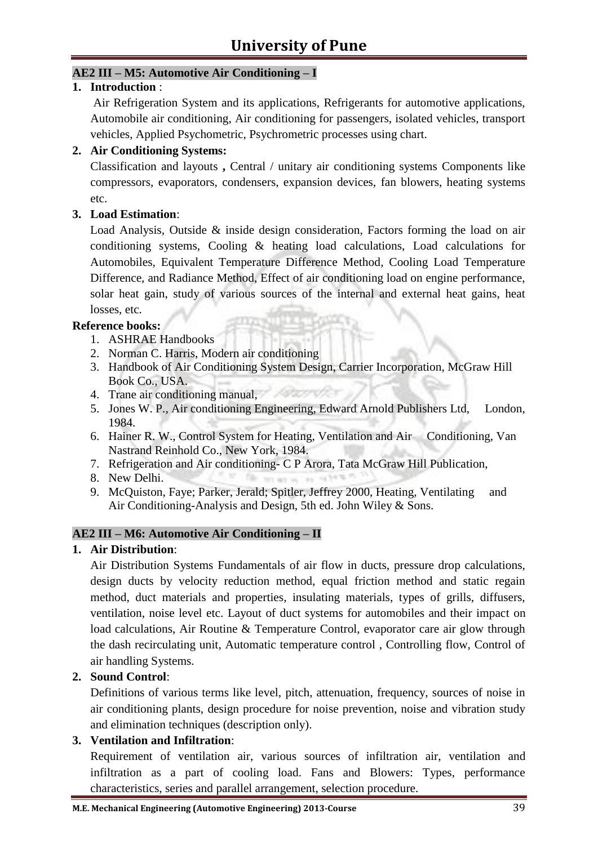#### **AE2 III – M5: Automotive Air Conditioning – I**

#### **1. Introduction** :

Air Refrigeration System and its applications, Refrigerants for automotive applications, Automobile air conditioning, Air conditioning for passengers, isolated vehicles, transport vehicles, Applied Psychometric, Psychrometric processes using chart.

#### **2. Air Conditioning Systems:**

Classification and layouts **,** Central / unitary air conditioning systems Components like compressors, evaporators, condensers, expansion devices, fan blowers, heating systems etc.

#### **3. Load Estimation**:

Load Analysis, Outside & inside design consideration, Factors forming the load on air conditioning systems, Cooling & heating load calculations, Load calculations for Automobiles, Equivalent Temperature Difference Method, Cooling Load Temperature Difference, and Radiance Method, Effect of air conditioning load on engine performance, solar heat gain, study of various sources of the internal and external heat gains, heat losses, etc.

#### **Reference books:**

- 1. ASHRAE Handbooks
- 2. Norman C. Harris, Modern air conditioning
- 3. Handbook of Air Conditioning System Design, Carrier Incorporation, McGraw Hill Book Co., USA.
- 4. Trane air conditioning manual,
- 5. Jones W. P., Air conditioning Engineering, Edward Arnold Publishers Ltd, London, 1984.
- 6. Hainer R. W., Control System for Heating, Ventilation and Air Conditioning, Van Nastrand Reinhold Co., New York, 1984.
- 7. Refrigeration and Air conditioning- C P Arora, Tata McGraw Hill Publication,

her are

The

- 8. New Delhi.
- 9. McQuiston, Faye; Parker, Jerald; Spitler, Jeffrey 2000, Heating, Ventilating and Air Conditioning-Analysis and Design, 5th ed. John Wiley & Sons.

#### **AE2 III – M6: Automotive Air Conditioning – II**

#### **1. Air Distribution**:

Air Distribution Systems Fundamentals of air flow in ducts, pressure drop calculations, design ducts by velocity reduction method, equal friction method and static regain method, duct materials and properties, insulating materials, types of grills, diffusers, ventilation, noise level etc. Layout of duct systems for automobiles and their impact on load calculations, Air Routine & Temperature Control, evaporator care air glow through the dash recirculating unit, Automatic temperature control , Controlling flow, Control of air handling Systems.

#### **2. Sound Control**:

Definitions of various terms like level, pitch, attenuation, frequency, sources of noise in air conditioning plants, design procedure for noise prevention, noise and vibration study and elimination techniques (description only).

#### **3. Ventilation and Infiltration**:

Requirement of ventilation air, various sources of infiltration air, ventilation and infiltration as a part of cooling load. Fans and Blowers: Types, performance characteristics, series and parallel arrangement, selection procedure.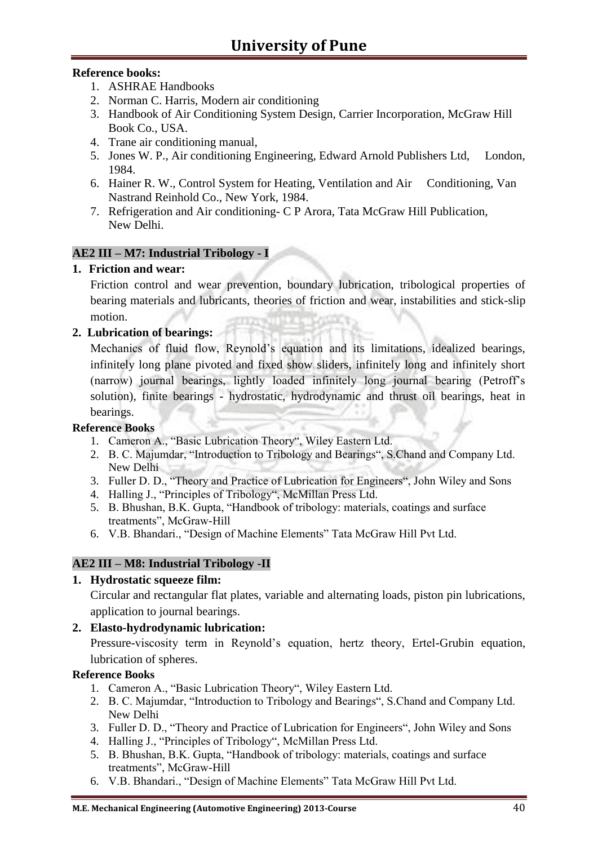#### **Reference books:**

- 1. ASHRAE Handbooks
- 2. Norman C. Harris, Modern air conditioning
- 3. Handbook of Air Conditioning System Design, Carrier Incorporation, McGraw Hill Book Co., USA.
- 4. Trane air conditioning manual,
- 5. Jones W. P., Air conditioning Engineering, Edward Arnold Publishers Ltd, London, 1984.
- 6. Hainer R. W., Control System for Heating, Ventilation and Air Conditioning, Van Nastrand Reinhold Co., New York, 1984.
- 7. Refrigeration and Air conditioning- C P Arora, Tata McGraw Hill Publication, New Delhi.

#### **AE2 III – M7: Industrial Tribology - I**

#### **1. Friction and wear:**

Friction control and wear prevention, boundary lubrication, tribological properties of bearing materials and lubricants, theories of friction and wear, instabilities and stick-slip motion.

#### **2. Lubrication of bearings:**

Mechanics of fluid flow, Reynold's equation and its limitations, idealized bearings, infinitely long plane pivoted and fixed show sliders, infinitely long and infinitely short (narrow) journal bearings, lightly loaded infinitely long journal bearing (Petroff's solution), finite bearings - hydrostatic, hydrodynamic and thrust oil bearings, heat in bearings.

#### **Reference Books**

- 1. Cameron A., "Basic Lubrication Theory", Wiley Eastern Ltd.
- 2. B. C. Majumdar, "Introduction to Tribology and Bearings", S.Chand and Company Ltd. New Delhi
- 3. Fuller D. D., "Theory and Practice of Lubrication for Engineers", John Wiley and Sons
- 4. Halling J., "Principles of Tribology", McMillan Press Ltd.
- 5. B. Bhushan, B.K. Gupta, "Handbook of tribology: materials, coatings and surface treatments", McGraw-Hill
- 6. V.B. Bhandari., "Design of Machine Elements" Tata McGraw Hill Pvt Ltd.

#### **AE2 III – M8: Industrial Tribology -II**

#### **1. Hydrostatic squeeze film:**

Circular and rectangular flat plates, variable and alternating loads, piston pin lubrications, application to journal bearings.

#### **2. Elasto-hydrodynamic lubrication:**

Pressure-viscosity term in Reynold's equation, hertz theory, Ertel-Grubin equation, lubrication of spheres.

- 1. Cameron A., "Basic Lubrication Theory", Wiley Eastern Ltd.
- 2. B. C. Majumdar, "Introduction to Tribology and Bearings", S.Chand and Company Ltd. New Delhi
- 3. Fuller D. D., "Theory and Practice of Lubrication for Engineers", John Wiley and Sons
- 4. Halling J., "Principles of Tribology", McMillan Press Ltd.
- 5. B. Bhushan, B.K. Gupta, "Handbook of tribology: materials, coatings and surface treatments", McGraw-Hill
- 6. V.B. Bhandari., "Design of Machine Elements" Tata McGraw Hill Pvt Ltd.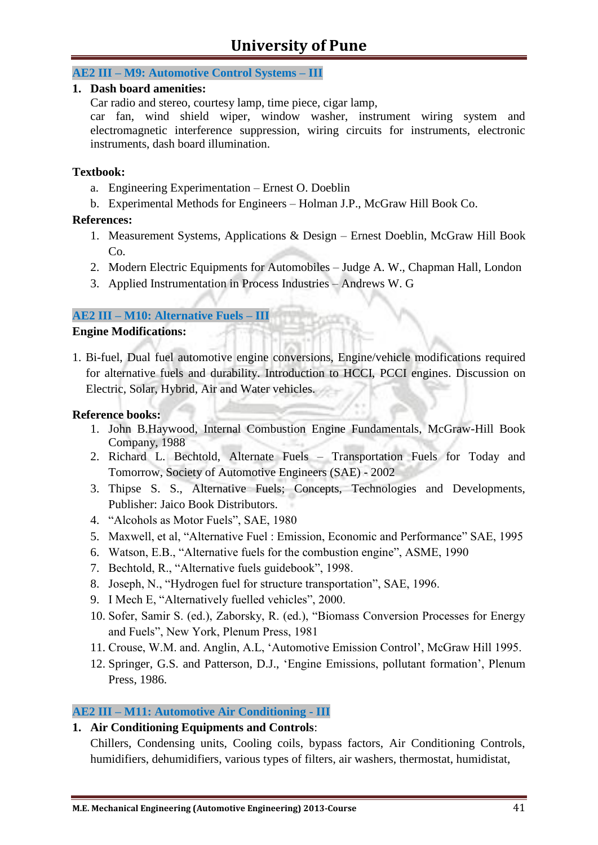## **University of Pune**

#### **AE2 III – M9: Automotive Control Systems – III**

#### **1. Dash board amenities:**

Car radio and stereo, courtesy lamp, time piece, cigar lamp,

car fan, wind shield wiper, window washer, instrument wiring system and electromagnetic interference suppression, wiring circuits for instruments, electronic instruments, dash board illumination.

#### **Textbook:**

- a. Engineering Experimentation Ernest O. Doeblin
- b. Experimental Methods for Engineers Holman J.P., McGraw Hill Book Co.

#### **References:**

- 1. Measurement Systems, Applications & Design Ernest Doeblin, McGraw Hill Book Co.
- 2. Modern Electric Equipments for Automobiles Judge A. W., Chapman Hall, London
- 3. Applied Instrumentation in Process Industries Andrews W. G

#### **AE2 III – M10: Alternative Fuels – III**

#### **Engine Modifications:**

1. Bi-fuel, Dual fuel automotive engine conversions, Engine/vehicle modifications required for alternative fuels and durability. Introduction to HCCI, PCCI engines. Discussion on Electric, Solar, Hybrid, Air and Water vehicles.

#### **Reference books:**

- 1. John B.Haywood, Internal Combustion Engine Fundamentals, McGraw-Hill Book Company, 1988
- 2. Richard L. Bechtold, Alternate Fuels Transportation Fuels for Today and Tomorrow, Society of Automotive Engineers (SAE) - 2002
- 3. Thipse S. S., Alternative Fuels; Concepts, Technologies and Developments, Publisher: Jaico Book Distributors.
- 4. "Alcohols as Motor Fuels", SAE, 1980
- 5. Maxwell, et al, "Alternative Fuel : Emission, Economic and Performance" SAE, 1995
- 6. Watson, E.B., "Alternative fuels for the combustion engine", ASME, 1990
- 7. Bechtold, R., "Alternative fuels guidebook", 1998.
- 8. Joseph, N., "Hydrogen fuel for structure transportation", SAE, 1996.
- 9. I Mech E, "Alternatively fuelled vehicles", 2000.
- 10. Sofer, Samir S. (ed.), Zaborsky, R. (ed.), "Biomass Conversion Processes for Energy and Fuels", New York, Plenum Press, 1981
- 11. Crouse, W.M. and. Anglin, A.L, 'Automotive Emission Control', McGraw Hill 1995.
- 12. Springer, G.S. and Patterson, D.J., 'Engine Emissions, pollutant formation', Plenum Press, 1986.

#### **AE2 III – M11: Automotive Air Conditioning - III**

#### **1. Air Conditioning Equipments and Controls**:

Chillers, Condensing units, Cooling coils, bypass factors, Air Conditioning Controls, humidifiers, dehumidifiers, various types of filters, air washers, thermostat, humidistat,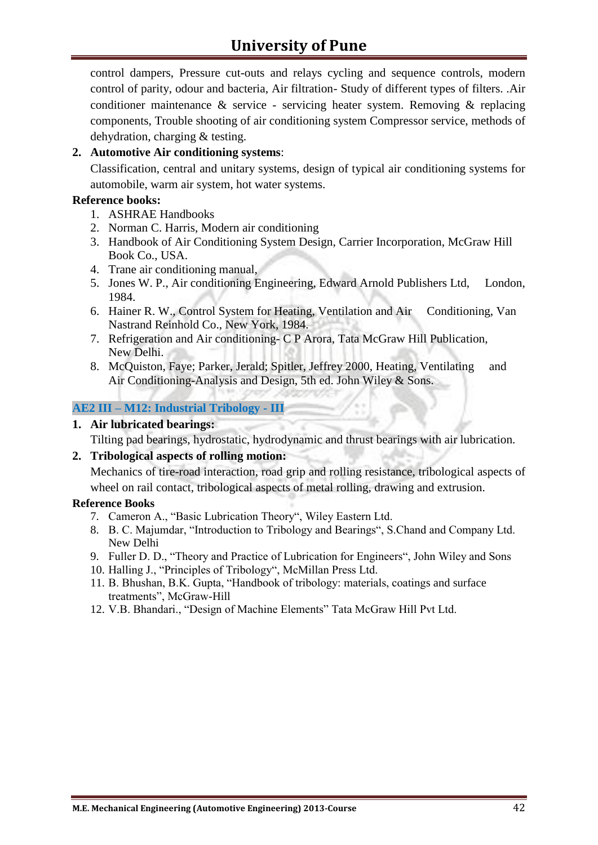control dampers, Pressure cut-outs and relays cycling and sequence controls, modern control of parity, odour and bacteria, Air filtration- Study of different types of filters. .Air conditioner maintenance  $\&$  service - servicing heater system. Removing  $\&$  replacing components, Trouble shooting of air conditioning system Compressor service, methods of dehydration, charging & testing.

#### **2. Automotive Air conditioning systems**:

Classification, central and unitary systems, design of typical air conditioning systems for automobile, warm air system, hot water systems.

#### **Reference books:**

- 1. ASHRAE Handbooks
- 2. Norman C. Harris, Modern air conditioning
- 3. Handbook of Air Conditioning System Design, Carrier Incorporation, McGraw Hill Book Co., USA.
- 4. Trane air conditioning manual,
- 5. Jones W. P., Air conditioning Engineering, Edward Arnold Publishers Ltd, London, 1984.
- 6. Hainer R. W., Control System for Heating, Ventilation and Air Conditioning, Van Nastrand Reinhold Co., New York, 1984.
- 7. Refrigeration and Air conditioning- C P Arora, Tata McGraw Hill Publication, New Delhi.
- 8. McQuiston, Faye; Parker, Jerald; Spitler, Jeffrey 2000, Heating, Ventilating and Air Conditioning-Analysis and Design, 5th ed. John Wiley & Sons.

#### **AE2 III – M12: Industrial Tribology - III**

#### **1. Air lubricated bearings:**

Tilting pad bearings, hydrostatic, hydrodynamic and thrust bearings with air lubrication.

#### **2. Tribological aspects of rolling motion:**

Mechanics of tire-road interaction, road grip and rolling resistance, tribological aspects of wheel on rail contact, tribological aspects of metal rolling, drawing and extrusion.

- 7. Cameron A., "Basic Lubrication Theory", Wiley Eastern Ltd.
- 8. B. C. Majumdar, "Introduction to Tribology and Bearings", S.Chand and Company Ltd. New Delhi
- 9. Fuller D. D., "Theory and Practice of Lubrication for Engineers", John Wiley and Sons
- 10. Halling J., "Principles of Tribology", McMillan Press Ltd.
- 11. B. Bhushan, B.K. Gupta, "Handbook of tribology: materials, coatings and surface treatments", McGraw-Hill
- 12. V.B. Bhandari., "Design of Machine Elements" Tata McGraw Hill Pvt Ltd.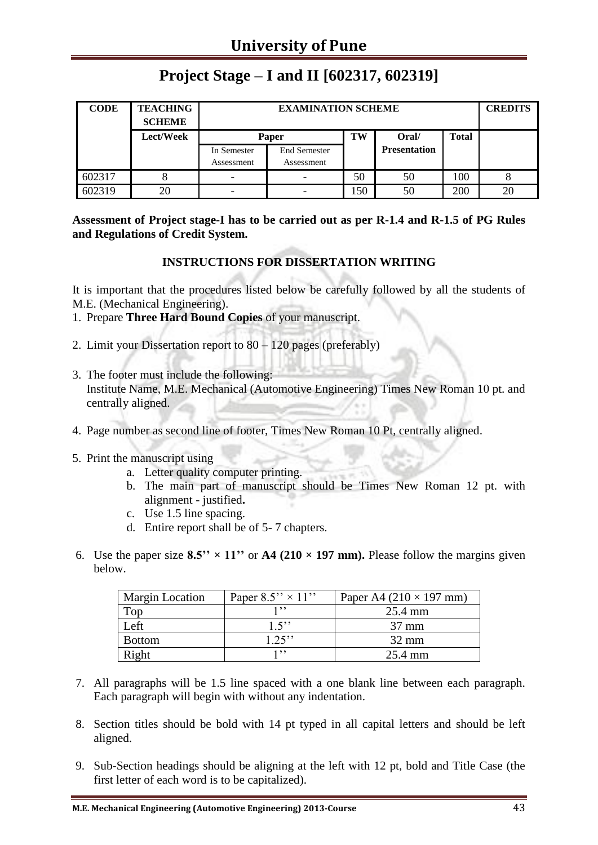| <b>CODE</b> | <b>TEACHING</b><br><b>SCHEME</b> |             | <b>CREDITS</b>      |     |                     |              |    |
|-------------|----------------------------------|-------------|---------------------|-----|---------------------|--------------|----|
|             | Lect/Week                        | Paper       |                     | TW  | Oral/               | <b>Total</b> |    |
|             |                                  | In Semester | <b>End Semester</b> |     | <b>Presentation</b> |              |    |
|             |                                  | Assessment  | Assessment          |     |                     |              |    |
| 602317      | δ                                |             |                     | 50  | 50                  | 100          |    |
| 602319      | 20                               |             |                     | 150 | 50                  | 200          | 20 |

## **Project Stage – I and II [602317, 602319]**

**Assessment of Project stage-I has to be carried out as per R-1.4 and R-1.5 of PG Rules and Regulations of Credit System.**

#### **INSTRUCTIONS FOR DISSERTATION WRITING**

It is important that the procedures listed below be carefully followed by all the students of M.E. (Mechanical Engineering).

- 1. Prepare **Three Hard Bound Copies** of your manuscript.
- 2. Limit your Dissertation report to 80 120 pages (preferably)
- 3. The footer must include the following: Institute Name, M.E. Mechanical (Automotive Engineering) Times New Roman 10 pt. and centrally aligned.
- 4. Page number as second line of footer, Times New Roman 10 Pt, centrally aligned.
- 5. Print the manuscript using
	- a. Letter quality computer printing.
	- b. The main part of manuscript should be Times New Roman 12 pt. with alignment - justified**.**
	- c. Use 1.5 line spacing.
	- d. Entire report shall be of 5- 7 chapters.
- 6. Use the paper size  $8.5'' \times 11''$  or  $A4$  (210  $\times$  197 mm). Please follow the margins given below.

| <b>Margin Location</b> | Paper $8.5'' \times 11''$ | Paper A4 $(210 \times 197$ mm) |
|------------------------|---------------------------|--------------------------------|
| Top                    |                           | 25.4 mm                        |
| Left                   | 1.5"                      | $37 \text{ mm}$                |
| <b>Bottom</b>          | $1.25$ "                  | $32 \text{ mm}$                |
| Right                  | 1, 9, 9                   | $25.4 \text{ mm}$              |

- 7. All paragraphs will be 1.5 line spaced with a one blank line between each paragraph. Each paragraph will begin with without any indentation.
- 8. Section titles should be bold with 14 pt typed in all capital letters and should be left aligned.
- 9. Sub-Section headings should be aligning at the left with 12 pt, bold and Title Case (the first letter of each word is to be capitalized).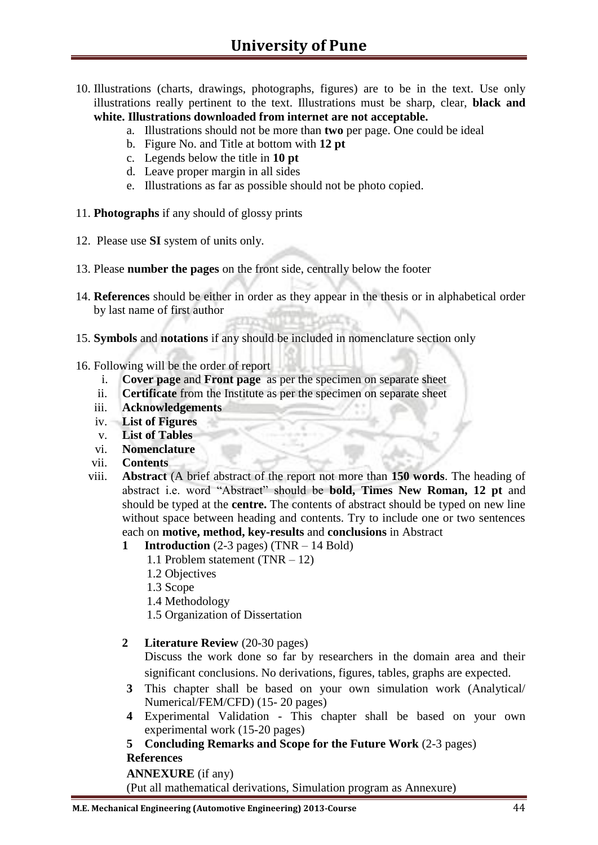- 10. Illustrations (charts, drawings, photographs, figures) are to be in the text. Use only illustrations really pertinent to the text. Illustrations must be sharp, clear, **black and white. Illustrations downloaded from internet are not acceptable.** 
	- a. Illustrations should not be more than **two** per page. One could be ideal
	- b. Figure No. and Title at bottom with **12 pt**
	- c. Legends below the title in **10 pt**
	- d. Leave proper margin in all sides
	- e. Illustrations as far as possible should not be photo copied.
- 11. **Photographs** if any should of glossy prints
- 12. Please use **SI** system of units only.
- 13. Please **number the pages** on the front side, centrally below the footer
- 14. **References** should be either in order as they appear in the thesis or in alphabetical order by last name of first author
- 15. **Symbols** and **notations** if any should be included in nomenclature section only
- 16. Following will be the order of report
	- i. **Cover page** and **Front page** as per the specimen on separate sheet
	- ii. **Certificate** from the Institute as per the specimen on separate sheet
	- iii. **Acknowledgements**
	- iv. **List of Figures**
	- v. **List of Tables**
	- vi. **Nomenclature**
	- vii. **Contents**
	- viii. **Abstract** (A brief abstract of the report not more than **150 words**. The heading of abstract i.e. word "Abstract" should be **bold, Times New Roman, 12 pt** and should be typed at the **centre.** The contents of abstract should be typed on new line without space between heading and contents. Try to include one or two sentences each on **motive, method, key-results** and **conclusions** in Abstract
		- **1 Introduction** (2-3 pages) (TNR 14 Bold)
			- 1.1 Problem statement (TNR 12)
			- 1.2 Objectives
			- 1.3 Scope
			- 1.4 Methodology
			- 1.5 Organization of Dissertation
		- **2 Literature Review** (20-30 pages)

Discuss the work done so far by researchers in the domain area and their significant conclusions. No derivations, figures, tables, graphs are expected.

- **3** This chapter shall be based on your own simulation work (Analytical/ Numerical/FEM/CFD) (15- 20 pages)
- **4** Experimental Validation This chapter shall be based on your own experimental work (15-20 pages)
- **5 Concluding Remarks and Scope for the Future Work** (2-3 pages) **References**

**ANNEXURE** (if any)

(Put all mathematical derivations, Simulation program as Annexure)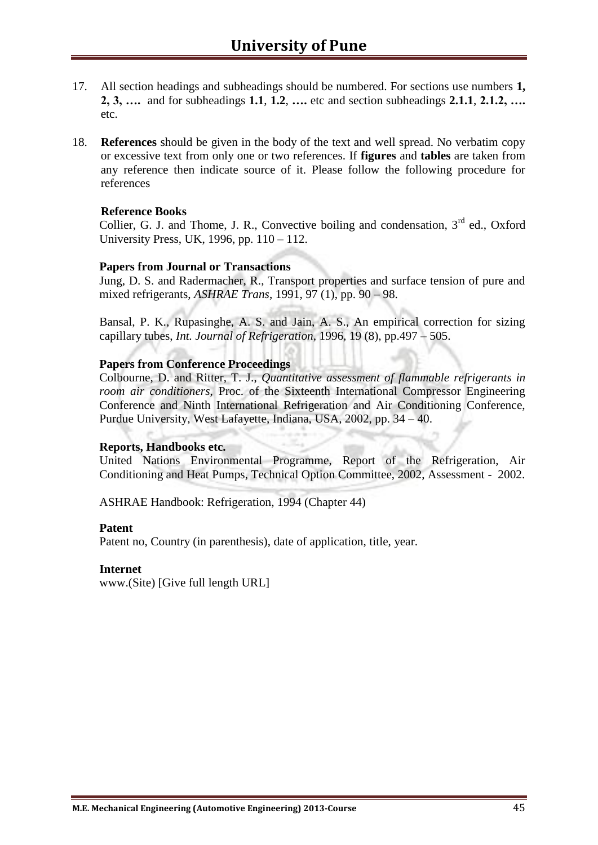- 17. All section headings and subheadings should be numbered. For sections use numbers **1, 2, 3, ….** and for subheadings **1.1**, **1.2**, **….** etc and section subheadings **2.1.1**, **2.1.2, ….**  etc.
- 18. **References** should be given in the body of the text and well spread. No verbatim copy or excessive text from only one or two references. If **figures** and **tables** are taken from any reference then indicate source of it. Please follow the following procedure for references

#### **Reference Books**

Collier, G. J. and Thome, J. R., Convective boiling and condensation.  $3<sup>rd</sup>$  ed., Oxford University Press, UK, 1996, pp. 110 – 112.

#### **Papers from Journal or Transactions**

Jung, D. S. and Radermacher, R., Transport properties and surface tension of pure and mixed refrigerants, *ASHRAE Trans*, 1991, 97 (1), pp. 90 – 98.

Bansal, P. K., Rupasinghe, A. S. and Jain, A. S., An empirical correction for sizing capillary tubes, *Int. Journal of Refrigeration*, 1996, 19 (8), pp.497 – 505.

#### **Papers from Conference Proceedings**

Colbourne, D. and Ritter, T. J., *Quantitative assessment of flammable refrigerants in room air conditioners*, Proc. of the Sixteenth International Compressor Engineering Conference and Ninth International Refrigeration and Air Conditioning Conference, Purdue University, West Lafayette, Indiana, USA, 2002, pp. 34 – 40.

#### **Reports, Handbooks etc.**

United Nations Environmental Programme, Report of the Refrigeration, Air Conditioning and Heat Pumps, Technical Option Committee, 2002, Assessment - 2002.

ASHRAE Handbook: Refrigeration, 1994 (Chapter 44)

#### **Patent**

Patent no, Country (in parenthesis), date of application, title, year.

#### **Internet**

www.(Site) [Give full length URL]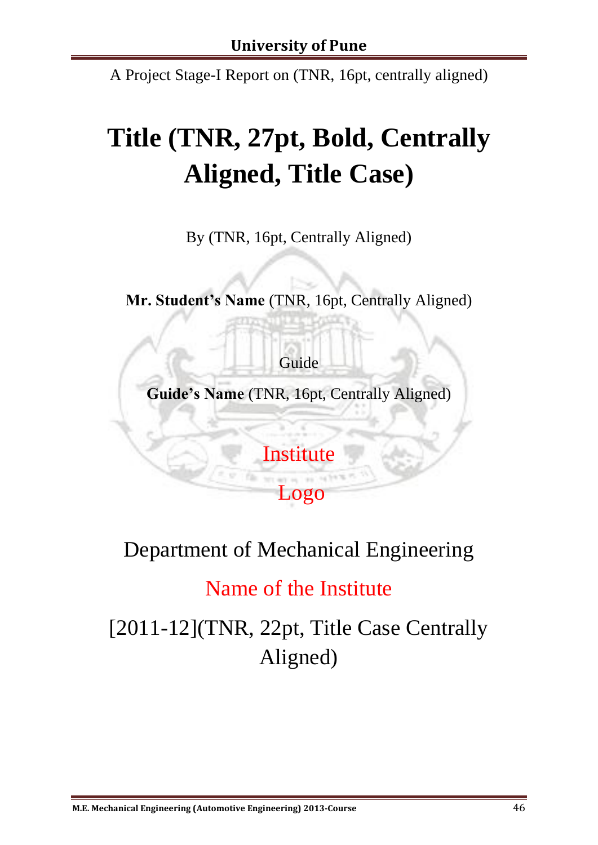A Project Stage-I Report on (TNR, 16pt, centrally aligned)

# **Title (TNR, 27pt, Bold, Centrally Aligned, Title Case)**

By (TNR, 16pt, Centrally Aligned)

**Mr. Student's Name** (TNR, 16pt, Centrally Aligned)

Guide

**Guide's Name** (TNR, 16pt, Centrally Aligned)

**Institute** 

Logo

Department of Mechanical Engineering

# Name of the Institute

[2011-12](TNR, 22pt, Title Case Centrally Aligned)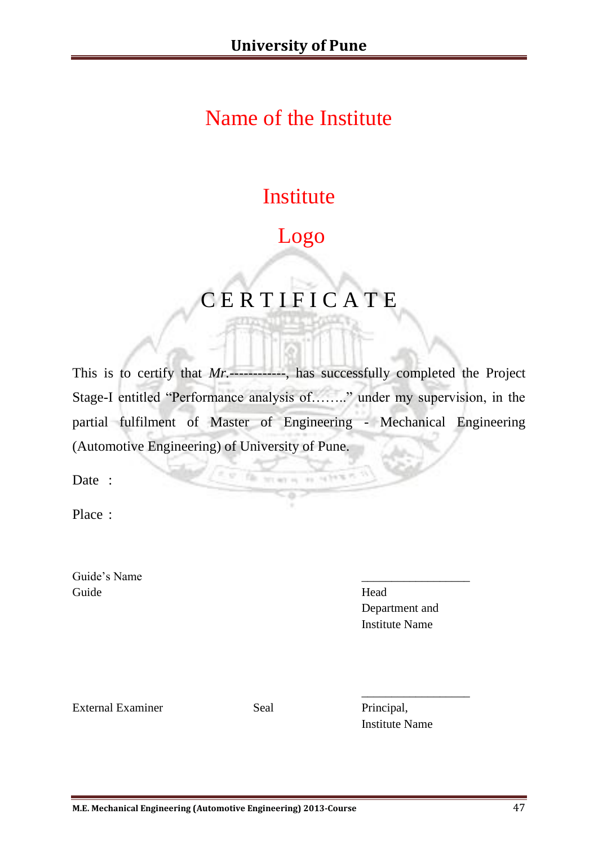# Name of the Institute

# **Institute**

# Logo

# C E R T I F I C A T E

This is to certify that *Mr.------------*, has successfully completed the Project Stage-I entitled "Performance analysis of…….." under my supervision, in the partial fulfilment of Master of Engineering - Mechanical Engineering (Automotive Engineering) of University of Pune.

NUMBER OF STREET

Fa.

Date :

Place :

Guide's Name Guide Head

Department and Institute Name

External Examiner Seal Principal,

Institute Name

\_\_\_\_\_\_\_\_\_\_\_\_\_\_\_\_\_\_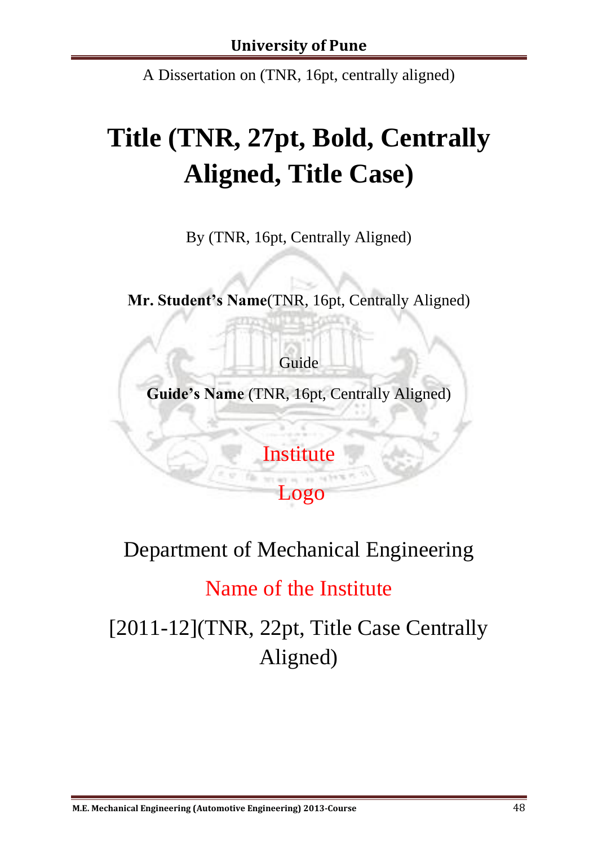A Dissertation on (TNR, 16pt, centrally aligned)

# **Title (TNR, 27pt, Bold, Centrally Aligned, Title Case)**

By (TNR, 16pt, Centrally Aligned)

**Mr. Student's Name**(TNR, 16pt, Centrally Aligned)

Guide

**Guide's Name** (TNR, 16pt, Centrally Aligned)

**Institute** 

Logo

Department of Mechanical Engineering

Name of the Institute

[2011-12](TNR, 22pt, Title Case Centrally Aligned)